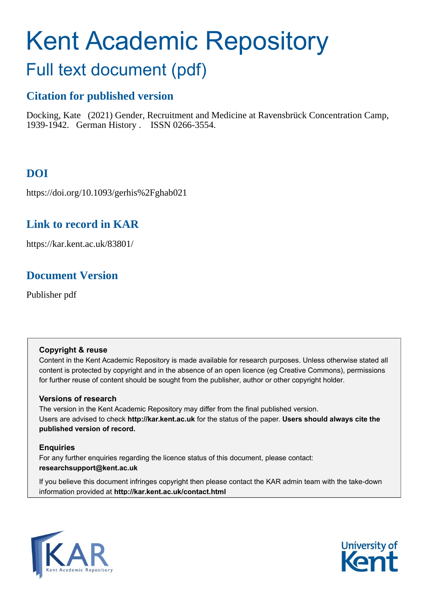# Kent Academic Repository

## Full text document (pdf)

## **Citation for published version**

Docking, Kate (2021) Gender, Recruitment and Medicine at Ravensbrück Concentration Camp, 1939-1942. German History . ISSN 0266-3554.

## **DOI**

https://doi.org/10.1093/gerhis%2Fghab021

## **Link to record in KAR**

https://kar.kent.ac.uk/83801/

## **Document Version**

Publisher pdf

#### **Copyright & reuse**

Content in the Kent Academic Repository is made available for research purposes. Unless otherwise stated all content is protected by copyright and in the absence of an open licence (eg Creative Commons), permissions for further reuse of content should be sought from the publisher, author or other copyright holder.

#### **Versions of research**

The version in the Kent Academic Repository may differ from the final published version. Users are advised to check **http://kar.kent.ac.uk** for the status of the paper. **Users should always cite the published version of record.**

#### **Enquiries**

For any further enquiries regarding the licence status of this document, please contact: **researchsupport@kent.ac.uk**

If you believe this document infringes copyright then please contact the KAR admin team with the take-down information provided at **http://kar.kent.ac.uk/contact.html**



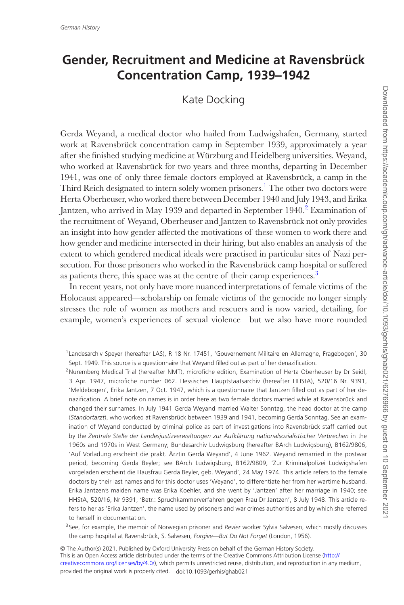### **Gender, Recruitment and Medicine at Ravensbrück Concentration Camp, 1939–1942**

Kate Docking

Gerda Weyand, a medical doctor who hailed from Ludwigshafen, Germany, started work at Ravensbrück concentration camp in September 1939, approximately a year after she finished studying medicine at Würzburg and Heidelberg universities. Weyand, who worked at Ravensbrück for two years and three months, departing in December 1941, was one of only three female doctors employed at Ravensbrück, a camp in the Third Reich designated to intern solely women prisoners.<sup>1</sup> The other two doctors were Herta Oberheuser, who worked there between December 1940 and July 1943, and Erika Jantzen, who arrived in May 1939 and departed in September 1940.<sup>2</sup> Examination of the recruitment of Weyand, Oberheuser and Jantzen to Ravensbrück not only provides an insight into how gender affected the motivations of these women to work there and how gender and medicine intersected in their hiring, but also enables an analysis of the extent to which gendered medical ideals were practised in particular sites of Nazi persecution. For those prisoners who worked in the Ravensbrück camp hospital or suffered as patients there, this space was at the centre of their camp experiences.<sup>3</sup>

In recent years, not only have more nuanced interpretations of female victims of the Holocaust appeared—scholarship on female victims of the genocide no longer simply stresses the role of women as mothers and rescuers and is now varied, detailing, for example, women's experiences of sexual violence—but we also have more rounded

<sup>2</sup>Nuremberg Medical Trial (hereafter NMT), microfiche edition, Examination of Herta Oberheuser by Dr Seidl, 3 Apr. 1947, microfiche number 062. Hessisches Hauptstaatsarchiv (hereafter HHStA), 520/16 Nr. 9391, 'Meldebogen', Erika Jantzen, 7 Oct. 1947, which is a questionnaire that Jantzen filled out as part of her denazification. A brief note on names is in order here as two female doctors married while at Ravensbrück and changed their surnames. In July 1941 Gerda Weyand married Walter Sonntag, the head doctor at the camp (*Standortarzt*), who worked at Ravensbrück between 1939 and 1941, becoming Gerda Sonntag. See an examination of Weyand conducted by criminal police as part of investigations into Ravensbrück staff carried out by the *Zentrale Stelle der Landesjustizverwaltungen zur Aufklärung nationalsozialistischer Verbrechen* in the 1960s and 1970s in West Germany; Bundesarchiv Ludwigsburg (hereafter BArch Ludwigsburg), B162/9806, 'Auf Vorladung erscheint die prakt. Ärztin Gerda Weyand', 4 June 1962. Weyand remarried in the postwar period, becoming Gerda Beyler; see BArch Ludwigsburg, B162/9809, 'Zur Kriminalpolizei Ludwigshafen vorgeladen erscheint die Hausfrau Gerda Beyler, geb. Weyand', 24 May 1974. This article refers to the female doctors by their last names and for this doctor uses 'Weyand', to differentiate her from her wartime husband. Erika Jantzen's maiden name was Erika Koehler, and she went by 'Jantzen' after her marriage in 1940; see HHStA, 520/16, Nr 9391, 'Betr.: Spruchkammerverfahren gegen Frau Dr Jantzen', 8 July 1948. This article refers to her as 'Erika Jantzen', the name used by prisoners and war crimes authorities and by which she referred to herself in documentation.

<sup>3</sup> See, for example, the memoir of Norwegian prisoner and *Revier* worker Sylvia Salvesen, which mostly discusses the camp hospital at Ravensbrück, S. Salvesen, *Forgive—But Do Not Forget* (London, 1956).

This is an Open Access article distributed under the terms of the Creative Commons Attribution License [\(http://](http://creativecommons.org/licenses/by/4.0/) [creativecommons.org/licenses/by/4.0/](http://creativecommons.org/licenses/by/4.0/)), which permits unrestricted reuse, distribution, and reproduction in any medium, provided the original work is properly cited. doi:10.1093/gerhis/ghab021 © The Author(s) 2021. Published by Oxford University Press on behalf of the German History Society.

<sup>1</sup> Landesarchiv Speyer (hereafter LAS), R 18 Nr. 17451, 'Gouvernement Militaire en Allemagne, Fragebogen', 30 Sept. 1949. This source is a questionnaire that Weyand filled out as part of her denazification.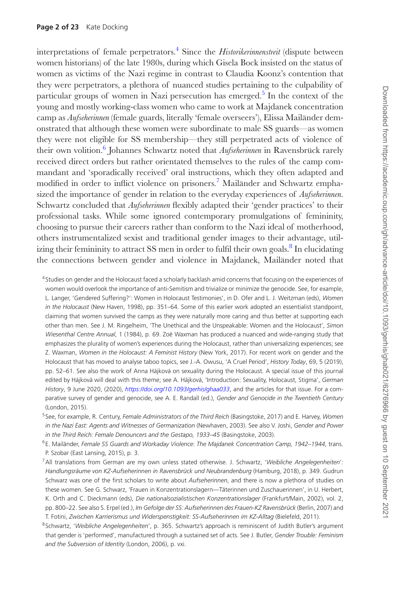interpretations of female perpetrators.4 Since the *Historikerinnenstreit* (dispute between women historians) of the late 1980s, during which Gisela Bock insisted on the status of women as victims of the Nazi regime in contrast to Claudia Koonz's contention that they were perpetrators, a plethora of nuanced studies pertaining to the culpability of particular groups of women in Nazi persecution has emerged.<sup>5</sup> In the context of the young and mostly working-class women who came to work at Majdanek concentration camp as *Aufseherinnen* (female guards, literally 'female overseers'), Elissa Mailänder demonstrated that although these women were subordinate to male SS guards—as women they were not eligible for SS membership—they still perpetrated acts of violence of their own volition.<sup>6</sup> Johannes Schwartz noted that *Aufseherinnen* in Ravensbrück rarely received direct orders but rather orientated themselves to the rules of the camp commandant and 'sporadically received' oral instructions, which they often adapted and modified in order to inflict violence on prisoners.7 Mailänder and Schwartz emphasized the importance of gender in relation to the everyday experiences of *Aufseherinnen*. Schwartz concluded that *Aufseherinnen* flexibly adapted their 'gender practices' to their professional tasks. While some ignored contemporary promulgations of femininity, choosing to pursue their careers rather than conform to the Nazi ideal of motherhood, others instrumentalized sexist and traditional gender images to their advantage, utilizing their femininity to attract SS men in order to fulfil their own goals.<sup>8</sup> In elucidating the connections between gender and violence in Majdanek, Mailänder noted that

<sup>4</sup> Studies on gender and the Holocaust faced a scholarly backlash amid concerns that focusing on the experiences of women would overlook the importance of anti-Semitism and trivialize or minimize the genocide. See, for example, L. Langer, 'Gendered Suffering?': Women in Holocaust Testimonies', in D. Ofer and L. J. Weitzman (eds), *Women in the Holocaust* (New Haven, 1998), pp. 351–64. Some of this earlier work adopted an essentialist standpoint, claiming that women survived the camps as they were naturally more caring and thus better at supporting each other than men. See J. M. Ringelheim, 'The Unethical and the Unspeakable: Women and the Holocaust', *Simon Wiesenthal Centre Annual*, 1 (1984), p. 69. Zoë Waxman has produced a nuanced and wide-ranging study that emphasizes the plurality of women's experiences during the Holocaust, rather than universalizing experiences; see Z. Waxman, *Women in the Holocaust: A Feminist History* (New York, 2017). For recent work on gender and the Holocaust that has moved to analyse taboo topics, see J.-A. Owusu, 'A Cruel Period', *History Today*, 69, 5 (2019), pp. 52–61. See also the work of Anna Hájková on sexuality during the Holocaust. A special issue of this journal edited by Hájková will deal with this theme; see A. Hájková, 'Introduction: Sexuality, Holocaust, Stigma', *German History*, 9 June 2020, (2020), *<https://doi.org/10.1093/gerhis/ghaa033>*, and the articles for that issue. For a comparative survey of gender and genocide, see A. E. Randall (ed.), *Gender and Genocide in the Twentieth Century* (London, 2015).

<sup>5</sup> See, for example, R. Century, *Female Administrators of the Third Reich* (Basingstoke, 2017) and E. Harvey, *Women in the Nazi East: Agents and Witnesses of Germanization* (Newhaven, 2003). See also V. Joshi, *Gender and Power in the Third Reich: Female Denouncers and the Gestapo, 1933–45* (Basingstoke, 2003).

<sup>6</sup> E. Mailänder, *Female SS Guards and Workaday Violence*: *The Majdanek Concentration Camp, 1942–1944*, trans. P. Szobar (East Lansing, 2015), p. 3.

- 7All translations from German are my own unless stated otherwise. J. Schwartz, '*Weibliche Angelegenheiten*'*: Handlungsräume von KZ-Aufseherinnen in Ravensbrück und Neubrandenburg* (Hamburg, 2018), p. 349. Gudrun Schwarz was one of the first scholars to write about *Aufseherinnen*, and there is now a plethora of studies on these women. See G. Schwarz, 'Frauen in Konzentrationslagern—Täterinnen und Zuschauerinnen', in U. Herbert, K. Orth and C. Dieckmann (eds), *Die nationalsozialistischen Konzentrationslager* (Frankfurt/Main, 2002), vol. 2, pp. 800–22. See also S. Erpel (ed.), *Im Gefolge der SS: Aufseherinnen des Frauen-KZ Ravensbrück* (Berlin, 2007) and T. Fotini, *Zwischen Karrierismus und Widerspenstigkeit: SS-Aufseherinnen im KZ-Alltag* (Bielefeld, 2011).
- <sup>8</sup> Schwartz, '*Weibliche Angelegenheiten*', p. 365. Schwartz's approach is reminiscent of Judith Butler's argument that gender is 'performed', manufactured through a sustained set of acts. See J. Butler, *Gender Trouble: Feminism and the Subversion of Identity* (London, 2006), p. vxi.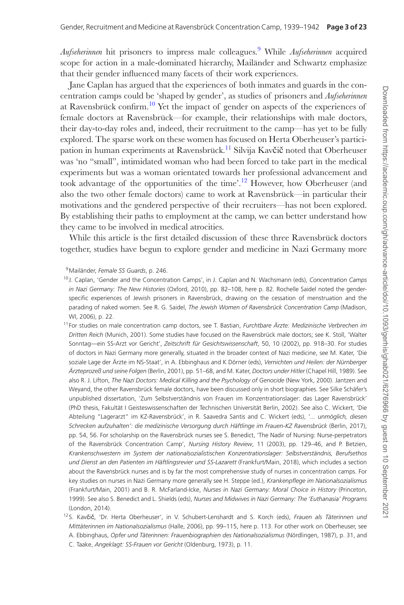*Aufseherinnen* hit prisoners to impress male colleagues.9 While *Aufseherinnen* acquired scope for action in a male-dominated hierarchy, Mailänder and Schwartz emphasize that their gender influenced many facets of their work experiences.

Jane Caplan has argued that the experiences of both inmates and guards in the concentration camps could be 'shaped by gender', as studies of prisoners and *Aufseherinnen* at Ravensbrück confirm.<sup>10</sup> Yet the impact of gender on aspects of the experiences of female doctors at Ravensbrück—for example, their relationships with male doctors, their day-to-day roles and, indeed, their recruitment to the camp—has yet to be fully explored. The sparse work on these women has focused on Herta Oberheuser's participation in human experiments at Ravensbrück.<sup>11</sup> Silvija Kav**čič** noted that Oberheuser was 'no "small", intimidated woman who had been forced to take part in the medical experiments but was a woman orientated towards her professional advancement and took advantage of the opportunities of the time'.<sup>12</sup> However, how Oberheuser (and also the two other female doctors) came to work at Ravensbrück—in particular their motivations and the gendered perspective of their recruiters—has not been explored. By establishing their paths to employment at the camp, we can better understand how they came to be involved in medical atrocities.

While this article is the first detailed discussion of these three Ravensbrück doctors together, studies have begun to explore gender and medicine in Nazi Germany more

<sup>9</sup>Mailänder, *Female SS Guards*, p. 246.

<sup>10</sup> J. Caplan, 'Gender and the Concentration Camps', in J. Caplan and N. Wachsmann (eds), *Concentration Camps in Nazi Germany: The New Histories* (Oxford, 2010), pp. 82–108, here p. 82. Rochelle Saidel noted the genderspecific experiences of Jewish prisoners in Ravensbrück, drawing on the cessation of menstruation and the parading of naked women. See R. G. Saidel, *The Jewish Women of Ravensbrück Concentration Camp* (Madison, WI, 2006), p. 22.

<sup>11</sup> For studies on male concentration camp doctors, see T. Bastian, *Furchtbare Ärzte: Medizinische Verbrechen im Dritten Reich* (Munich, 2001). Some studies have focused on the Ravensbrück male doctors; see K. Stoll, 'Walter Sonntag—ein SS-Arzt vor Gericht', *Zeitschrift für Gesichtswissenschaft*, 50, 10 (2002), pp. 918–30. For studies of doctors in Nazi Germany more generally, situated in the broader context of Nazi medicine, see M. Kater, 'Die soziale Lage der Ärzte im NS-Staat', in A. Ebbinghaus and K Dörner (eds), *Vernichten und Heilen: der Nürnberger Ärzteprozeß und seine Folgen* (Berlin, 2001), pp. 51–68, and M. Kater, *Doctors under Hitler* (Chapel Hill, 1989). See also R. J. Lifton, *The Nazi Doctors: Medical Killing and the Psychology of Genocide* (New York, 2000). Jantzen and Weyand, the other Ravensbrück female doctors, have been discussed only in short biographies. See Silke Schäfer's unpublished dissertation, 'Zum Selbstverständnis von Frauen im Konzentrationslager: das Lager Ravensbrück' (PhD thesis, Fakultät I Geisteswissenschaften der Technischen Universität Berlin, 2002). See also C. Wickert, 'Die Abteilung "Lagerarzt" im KZ-Ravensbrück', in R. Saavedra Santis and C. Wickert (eds), '*... unmöglich, diesen Schrecken aufzuhalten': die medizinische Versorgung durch Häftlinge im Frauen-KZ Ravensbrück* (Berlin, 2017), pp. 54, 56. For scholarship on the Ravensbrück nurses see S. Benedict, 'The Nadir of Nursing: Nurse-perpetrators of the Ravensbrück Concentration Camp', *Nursing History Review*, 11 (2003), pp. 129–46, and P. Betzien, *Krankenschwestern im System der nationalsozialistischen Konzentrationslager: Selbstverständnis, Berufsethos und Dienst an den Patienten im Häftlingsrevier und SS-Lazarett* (Frankfurt/Main, 2018), which includes a section about the Ravensbrück nurses and is by far the most comprehensive study of nurses in concentration camps. For key studies on nurses in Nazi Germany more generally see H. Steppe (ed.), *Krankenpflege im Nationalsozialismus* (Frankfurt/Main, 2001) and B. R. McFarland-Icke, *Nurses in Nazi Germany: Moral Choice in History* (Princeton, 1999). See also S. Benedict and L. Shields (eds), *Nurses and Midwives in Nazi Germany: The 'Euthanasia' Programs* (London, 2014).

<sup>12</sup> S. Kavčič, 'Dr. Herta Oberheuser', in V. Schubert-Lenshardt and S. Korch (eds), *Frauen als Täterinnen und Mittäterinnen im Nationalsozialismus* (Halle, 2006), pp. 99–115, here p. 113. For other work on Oberheuser, see A. Ebbinghaus, *Opfer und Täterinnen: Frauenbiographien des Nationalsozialismus* (Nördlingen, 1987), p. 31, and C. Taake, *Angeklagt: SS-Frauen vor Gericht* (Oldenburg, 1973), p. 11.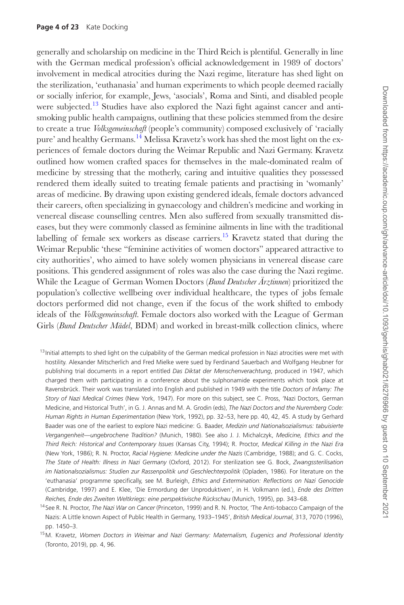generally and scholarship on medicine in the Third Reich is plentiful. Generally in line with the German medical profession's official acknowledgement in 1989 of doctors' involvement in medical atrocities during the Nazi regime, literature has shed light on the sterilization, 'euthanasia' and human experiments to which people deemed racially or socially inferior, for example, Jews, 'asocials', Roma and Sinti, and disabled people were subjected.<sup>13</sup> Studies have also explored the Nazi fight against cancer and antismoking public health campaigns, outlining that these policies stemmed from the desire to create a true *Volksgemeinschaft* (people's community) composed exclusively of 'racially pure' and healthy Germans.<sup>14</sup> Melissa Kravetz's work has shed the most light on the experiences of female doctors during the Weimar Republic and Nazi Germany. Kravetz outlined how women crafted spaces for themselves in the male-dominated realm of medicine by stressing that the motherly, caring and intuitive qualities they possessed rendered them ideally suited to treating female patients and practising in 'womanly' areas of medicine. By drawing upon existing gendered ideals, female doctors advanced their careers, often specializing in gynaecology and children's medicine and working in venereal disease counselling centres. Men also suffered from sexually transmitted diseases, but they were commonly classed as feminine ailments in line with the traditional labelling of female sex workers as disease carriers.<sup>15</sup> Kravetz stated that during the Weimar Republic 'these "feminine activities of women doctors" appeared attractive to city authorities', who aimed to have solely women physicians in venereal disease care positions. This gendered assignment of roles was also the case during the Nazi regime. While the League of German Women Doctors (*Bund Deutscher Ärztinnen*) prioritized the population's collective wellbeing over individual healthcare, the types of jobs female doctors performed did not change, even if the focus of the work shifted to embody ideals of the *Volksgemeinschaft.* Female doctors also worked with the League of German Girls (*Bund Deutscher Mädel*, BDM) and worked in breast-milk collection clinics, where

 $13$  Initial attempts to shed light on the culpability of the German medical profession in Nazi atrocities were met with hostility. Alexander Mitscherlich and Fred Mielke were sued by Ferdinand Sauerbach and Wolfgang Heubner for publishing trial documents in a report entitled *Das Diktat der Menschenverachtung*, produced in 1947, which charged them with participating in a conference about the sulphonamide experiments which took place at Ravensbrück. Their work was translated into English and published in 1949 with the title *Doctors of Infamy: The Story of Nazi Medical Crimes* (New York, 1947). For more on this subject, see C. Pross, 'Nazi Doctors, German Medicine, and Historical Truth', in G. J. Annas and M. A. Grodin (eds), *The Nazi Doctors and the Nuremberg Code: Human Rights in Human Experimentation* (New York, 1992), pp. 32–53, here pp. 40, 42, 45. A study by Gerhard Baader was one of the earliest to explore Nazi medicine: G. Baader, *Medizin und Nationalsozialismus: tabuisierte Vergangenheit—ungebrochene Tradition?* (Munich, 1980). See also J. J. Michalczyk, *Medicine, Ethics and the Third Reich: Historical and Contemporary Issues* (Kansas City, 1994); R. Proctor, *Medical Killing in the Nazi Era* (New York, 1986); R. N. Proctor, *Racial Hygiene: Medicine under the Nazis* (Cambridge, 1988); and G. C. Cocks, *The State of Health: Illness in Nazi Germany* (Oxford, 2012). For sterilization see G. Bock, *Zwangssterilisation im Nationalsozialismus: Studien zur Rassenpolitik und Geschlechterpolitik* (Opladen, 1986). For literature on the 'euthanasia' programme specifically, see M. Burleigh, *Ethics and Extermination: Reflections on Nazi Genocide* (Cambridge, 1997) and E. Klee, 'Die Ermordung der Unproduktiven', in H. Volkmann (ed.), *Ende des Dritten Reiches, Ende des Zweiten Weltkriegs: eine perspektivische Rückschau* (Munich, 1995), pp. 343–68.

<sup>14</sup> See R. N. Proctor, *The Nazi War on Cancer* (Princeton, 1999) and R. N. Proctor, 'The Anti-tobacco Campaign of the Nazis: A Little known Aspect of Public Health in Germany, 1933–1945', *British Medical Journal*, 313, 7070 (1996), pp. 1450–3.

<sup>15</sup>M. Kravetz, *Women Doctors in Weimar and Nazi Germany: Maternalism, Eugenics and Professional Identity* (Toronto, 2019), pp. 4, 96.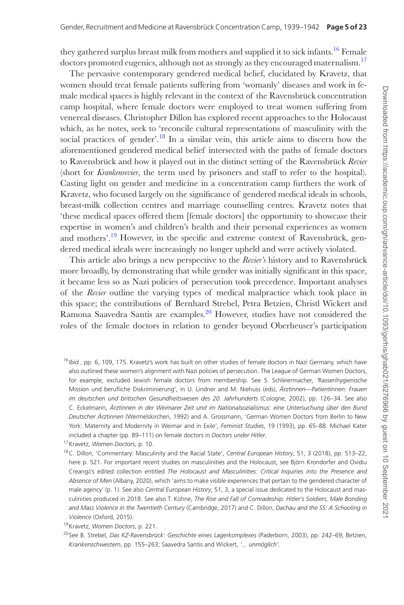they gathered surplus breast milk from mothers and supplied it to sick infants.<sup>16</sup> Female doctors promoted eugenics, although not as strongly as they encouraged maternalism.<sup>17</sup>

The pervasive contemporary gendered medical belief, elucidated by Kravetz, that women should treat female patients suffering from 'womanly' diseases and work in female medical spaces is highly relevant in the context of the Ravensbrück concentration camp hospital, where female doctors were employed to treat women suffering from venereal diseases. Christopher Dillon has explored recent approaches to the Holocaust which, as he notes, seek to 'reconcile cultural representations of masculinity with the social practices of gender'.<sup>18</sup> In a similar vein, this article aims to discern how the aforementioned gendered medical belief intersected with the paths of female doctors to Ravensbrück and how it played out in the distinct setting of the Ravensbrück *Revier* (short for *Krankenrevier*, the term used by prisoners and staff to refer to the hospital). Casting light on gender and medicine in a concentration camp furthers the work of Kravetz, who focused largely on the significance of gendered medical ideals in schools, breast-milk collection centres and marriage counselling centres. Kravetz notes that 'these medical spaces offered them [female doctors] the opportunity to showcase their expertise in women's and children's health and their personal experiences as women and mothers'.<sup>19</sup> However, in the specific and extreme context of Ravensbrück, gendered medical ideals were increasingly no longer upheld and were actively violated.

This article also brings a new perspective to the *Revier's* history and to Ravensbrück more broadly, by demonstrating that while gender was initially significant in this space, it became less so as Nazi policies of persecution took precedence. Important analyses of the *Revier* outline the varying types of medical malpractice which took place in this space; the contributions of Bernhard Strebel, Petra Betzien, Christl Wickert and Ramona Saavedra Santis are examples.20 However, studies have not considered the roles of the female doctors in relation to gender beyond Oberheuser's participation

<sup>16</sup> *Ibid.*, pp. 6, 109, 175. Kravetz's work has built on other studies of female doctors in Nazi Germany, which have also outlined these women's alignment with Nazi policies of persecution. The League of German Women Doctors, for example, excluded Jewish female doctors from membership. See S. Schleiermacher, *'*Rassenhygienische Mission und berufliche Diskriminierung', in U. Lindner and M. Niehuss (eds), *Ärztinnen—Patientinnen: Frauen im deutschen und britischen Gesundheitswesen des 20. Jahrhunderts* (Cologne, 2002), pp. 126–34. See also C. Eckelmann, *Ärztinnen in der Weimarer Zeit und im Nationalsozialismus: eine Untersuchung über den Bund Deutscher Ärztinnen* (Wermelskirchen, 1992) and A. Grossmann, 'German Women Doctors from Berlin to New York: Maternity and Modernity in Weimar and in Exile', *Feminist Studies*, 19 (1993), pp. 65–88. Michael Kater included a chapter (pp. 89–111) on female doctors in *Doctors under Hitler*.

<sup>17</sup>Kravetz, *Women Doctors*, p. 10.

<sup>18</sup>C. Dillon, 'Commentary: Masculinity and the Racial State', *Central European History*, 51, 3 (2018), pp. 513–22, here p. 521. For important recent studies on masculinities and the Holocaust, see Björn Krondorfer and Ovidiu Creangă's edited collection entitled *The Holocaust and Masculinities: Critical Inquiries into the Presence and Absence of Men* (Albany, 2020), which 'aims to make visible experiences that pertain to the gendered character of male agency' (p. 1). See also *Central European History*, 51, 3, a special issue dedicated to the Holocaust and masculinities produced in 2018. See also T. Kühne, *The Rise and Fall of Comradeship: Hitler's Soldiers, Male Bonding and Mass Violence in the Twentieth Century* (Cambridge, 2017) and C. Dillon, *Dachau and the SS: A Schooling in Violence* (Oxford, 2015).

<sup>19</sup>Kravetz, *Women Doctors*, p. 221.

<sup>20</sup> See B. Strebel, *Das KZ-Ravensbrück*: *Geschichte eines Lagerkomplexes* (Paderborn, 2003), pp. 242–69; Betzien, *Krankenschwestern*, pp. 155–263; Saavedra Santis and Wickert, *'... unmöglich'.*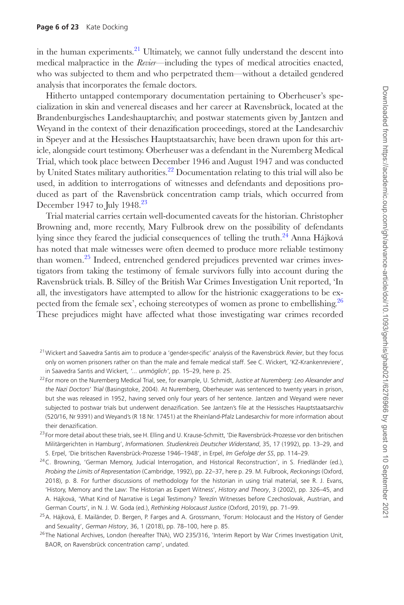in the human experiments.<sup>21</sup> Ultimately, we cannot fully understand the descent into medical malpractice in the *Revier*—including the types of medical atrocities enacted, who was subjected to them and who perpetrated them—without a detailed gendered analysis that incorporates the female doctors.

Hitherto untapped contemporary documentation pertaining to Oberheuser's specialization in skin and venereal diseases and her career at Ravensbrück, located at the Brandenburgisches Landeshauptarchiv, and postwar statements given by Jantzen and Weyand in the context of their denazification proceedings, stored at the Landesarchiv in Speyer and at the Hessisches Hauptstaatsarchiv, have been drawn upon for this article, alongside court testimony. Oberheuser was a defendant in the Nuremberg Medical Trial, which took place between December 1946 and August 1947 and was conducted by United States military authorities.<sup>22</sup> Documentation relating to this trial will also be used, in addition to interrogations of witnesses and defendants and depositions produced as part of the Ravensbrück concentration camp trials, which occurred from December 1947 to July 1948.<sup>23</sup>

Trial material carries certain well-documented caveats for the historian. Christopher Browning and, more recently, Mary Fulbrook drew on the possibility of defendants lying since they feared the judicial consequences of telling the truth.<sup>24</sup> Anna Hájková has noted that male witnesses were often deemed to produce more reliable testimony than women.25 Indeed, entrenched gendered prejudices prevented war crimes investigators from taking the testimony of female survivors fully into account during the Ravensbrück trials. B. Silley of the British War Crimes Investigation Unit reported, 'In all, the investigators have attempted to allow for the histrionic exaggerations to be expected from the female sex', echoing stereotypes of women as prone to embellishing.<sup>26</sup> These prejudices might have affected what those investigating war crimes recorded

- <sup>23</sup> For more detail about these trials, see H. Elling and U. Krause-Schmitt, 'Die Ravensbrück-Prozesse vor den britischen Militärgerichten in Hamburg', *Informationen. Studienkreis Deutscher Widerstand*, 35, 17 (1992), pp. 13–29, and S. Erpel, 'Die britischen Ravensbrück-Prozesse 1946–1948', in Erpel, *Im Gefolge der SS*, pp. 114–29.
- <sup>24</sup>C. Browning, 'German Memory, Judicial Interrogation, and Historical Reconstruction', in S. Friedländer (ed.), *Probing the Limits of Representation* (Cambridge, 1992), pp. 22–37, here p. 29. M. Fulbrook, *Reckonings* (Oxford, 2018), p. 8. For further discussions of methodology for the historian in using trial material, see R. J. Evans, 'History, Memory and the Law: The Historian as Expert Witness', *History and Theory*, 3 (2002), pp. 326–45, and A. Hájková, 'What Kind of Narrative is Legal Testimony? Terezín Witnesses before Czechoslovak, Austrian, and German Courts', in N. J. W. Goda (ed.), *Rethinking Holocaust Justice* (Oxford, 2019), pp. 71–99.

<sup>26</sup> The National Archives, London (hereafter TNA), WO 235/316, 'Interim Report by War Crimes Investigation Unit, BAOR, on Ravensbrück concentration camp', undated.

<sup>21</sup>Wickert and Saavedra Santis aim to produce a 'gender-specific' analysis of the Ravensbrück *Revier*, but they focus only on women prisoners rather on than the male and female medical staff. See C. Wickert, 'KZ-Krankenreviere', in Saavedra Santis and Wickert, *'... unmöglich'*, pp. 15–29, here p. 25.

<sup>22</sup> For more on the Nuremberg Medical Trial, see, for example, U. Schmidt, *Justice at Nuremberg: Leo Alexander and the Nazi Doctors' Trial* (Basingstoke, 2004). At Nuremberg, Oberheuser was sentenced to twenty years in prison, but she was released in 1952, having served only four years of her sentence. Jantzen and Weyand were never subjected to postwar trials but underwent denazification. See Jantzen's file at the Hessisches Hauptstaatsarchiv (520/16, Nr 9391) and Weyand's (R 18 Nr. 17451) at the Rheinland-Pfalz Landesarchiv for more information about their denazification.

<sup>&</sup>lt;sup>25</sup>A. Hájková, E. Mailänder, D. Bergen, P. Farges and A. Grossmann, 'Forum: Holocaust and the History of Gender and Sexuality', *German History*, 36, 1 (2018), pp. 78–100, here p. 85.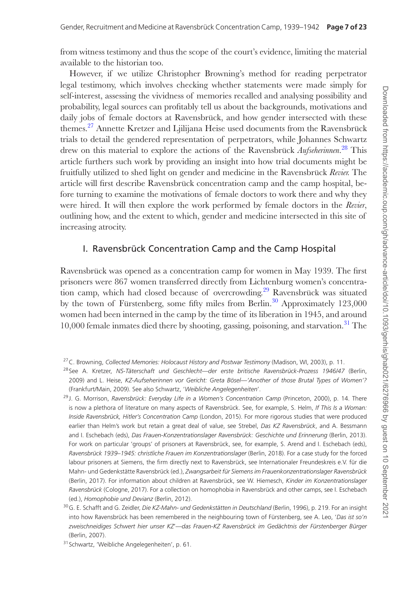from witness testimony and thus the scope of the court's evidence, limiting the material available to the historian too.

However, if we utilize Christopher Browning's method for reading perpetrator legal testimony, which involves checking whether statements were made simply for self-interest, assessing the vividness of memories recalled and analysing possibility and probability, legal sources can profitably tell us about the backgrounds, motivations and daily jobs of female doctors at Ravensbrück, and how gender intersected with these themes.<sup>27</sup> Annette Kretzer and Ljilijana Heise used documents from the Ravensbrück trials to detail the gendered representation of perpetrators, while Johannes Schwartz drew on this material to explore the actions of the Ravensbrück *Aufseherinnen*. 28 This article furthers such work by providing an insight into how trial documents might be fruitfully utilized to shed light on gender and medicine in the Ravensbrück *Revier.* The article will first describe Ravensbrück concentration camp and the camp hospital, before turning to examine the motivations of female doctors to work there and why they were hired. It will then explore the work performed by female doctors in the *Revier*, outlining how, and the extent to which, gender and medicine intersected in this site of increasing atrocity.

#### I. Ravensbrück Concentration Camp and the Camp Hospital

Ravensbrück was opened as a concentration camp for women in May 1939. The first prisoners were 867 women transferred directly from Lichtenburg women's concentration camp, which had closed because of overcrowding.<sup>29</sup> Ravensbrück was situated by the town of Fürstenberg, some fifty miles from Berlin.<sup>30</sup> Approximately 123,000 women had been interned in the camp by the time of its liberation in 1945, and around  $10,000$  female inmates died there by shooting, gassing, poisoning, and starvation.<sup>31</sup> The

<sup>29</sup> J. G. Morrison, *Ravensbrück: Everyday Life in a Women's Concentration Camp* (Princeton, 2000), p. 14. There is now a plethora of literature on many aspects of Ravensbrück. See, for example, S. Helm, *If This Is a Woman: Inside Ravensbrück, Hitler's Concentration Camp* (London, 2015). For more rigorous studies that were produced earlier than Helm's work but retain a great deal of value, see Strebel, *Das KZ Ravensbrück*, and A. Bessmann and I. Eschebach (eds), *Das Frauen-Konzentrationslager Ravensbrück: Geschichte und Erinnerung* (Berlin, 2013). For work on particular 'groups' of prisoners at Ravensbrück, see, for example, S. Arend and I. Eschebach (eds), *Ravensbrück 1939–1945: christliche Frauen im Konzentrationslager* (Berlin, 2018). For a case study for the forced labour prisoners at Siemens, the firm directly next to Ravensbrück, see Internationaler Freundeskreis e.V. für die Mahn- und Gedenkstätte Ravensbrück (ed.), *Zwangsarbeit für Siemens im Frauenkonzentrationslager Ravensbrück* (Berlin, 2017). For information about children at Ravensbrück, see W. Hiemesch, *Kinder im Konzentrationslager Ravensbrück* (Cologne, 2017). For a collection on homophobia in Ravensbrück and other camps, see I. Eschebach (ed.), *Homophobie und Devianz* (Berlin, 2012).

<sup>27</sup>C. Browning, *Collected Memories: Holocaust History and Postwar Testimony* (Madison, WI, 2003), p. 11.

<sup>28</sup> See A. Kretzer, *NS-Täterschaft und Geschlecht—der erste britische Ravensbrück-Prozess 1946/47* (Berlin, 2009) and L. Heise, *KZ-Aufseherinnen vor Gericht: Greta Bösel—'Another of those Brutal Types of Women'?* (Frankfurt/Main, 2009). See also Schwartz, '*Weibliche Angelegenheiten*'.

<sup>30</sup>G. E. Schafft and G. Zeidler, *Die KZ-Mahn- und Gedenkstätten in Deutschland* (Berlin, 1996), p. 219. For an insight into how Ravensbrück has been remembered in the neighbouring town of Fürstenberg, see A. Leo, '*Das ist so'n zweischneidiges Schwert hier unser KZ*'—*das Frauen-KZ Ravensbrück im Gedächtnis der Fürstenberger Bürger* (Berlin, 2007).

<sup>31</sup> Schwartz, 'Weibliche Angelegenheiten', p. 61.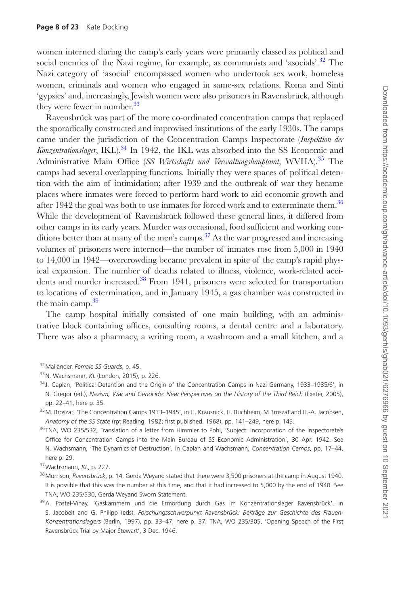women interned during the camp's early years were primarily classed as political and social enemies of the Nazi regime, for example, as communists and 'asocials'.<sup>32</sup> The Nazi category of 'asocial' encompassed women who undertook sex work, homeless women, criminals and women who engaged in same-sex relations. Roma and Sinti 'gypsies' and, increasingly, Jewish women were also prisoners in Ravensbrück, although they were fewer in number.<sup>33</sup>

Ravensbrück was part of the more co-ordinated concentration camps that replaced the sporadically constructed and improvised institutions of the early 1930s. The camps came under the jurisdiction of the Concentration Camps Inspectorate (*Inspektion der Konzentrationslager*, IKL).<sup>34</sup> In 1942, the IKL was absorbed into the SS Economic and Administrative Main Office (*SS Wirtschafts und Verwaltungshauptamt*, WVHA).35 The camps had several overlapping functions. Initially they were spaces of political detention with the aim of intimidation; after 1939 and the outbreak of war they became places where inmates were forced to perform hard work to aid economic growth and after 1942 the goal was both to use inmates for forced work and to exterminate them.<sup>36</sup> While the development of Ravensbrück followed these general lines, it differed from other camps in its early years. Murder was occasional, food sufficient and working conditions better than at many of the men's camps.<sup>37</sup> As the war progressed and increasing volumes of prisoners were interned—the number of inmates rose from 5,000 in 1940 to 14,000 in 1942*—*overcrowding became prevalent in spite of the camp's rapid physical expansion. The number of deaths related to illness, violence, work-related accidents and murder increased.<sup>38</sup> From 1941, prisoners were selected for transportation to locations of extermination, and in January 1945, a gas chamber was constructed in the main camp. $39$ 

The camp hospital initially consisted of one main building, with an administrative block containing offices, consulting rooms, a dental centre and a laboratory. There was also a pharmacy, a writing room, a washroom and a small kitchen, and a

- <sup>35</sup> M. Broszat, 'The Concentration Camps 1933–1945', in H. Krausnick, H. Buchheim, M Broszat and H.-A. Jacobsen, *Anatomy of the SS State* (rpt Reading, 1982; first published. 1968), pp. 141–249, here p. 143.
- <sup>36</sup> TNA, WO 235/532, Translation of a letter from Himmler to Pohl, 'Subject: Incorporation of the Inspectorate's Office for Concentration Camps into the Main Bureau of SS Economic Administration', 30 Apr. 1942. See N. Wachsmann, 'The Dynamics of Destruction', in Caplan and Wachsmann, *Concentration Camps*, pp. 17–44, here p. 29.

- 38Morrison, *Ravensbrück*, p. 14. Gerda Weyand stated that there were 3,500 prisoners at the camp in August 1940. It is possible that this was the number at this time, and that it had increased to 5,000 by the end of 1940. See TNA, WO 235/530, Gerda Weyand Sworn Statement.
- <sup>39</sup>A. Postel-Vinay, 'Gaskammern und die Ermordung durch Gas im Konzentrationslager Ravensbrück', in S. Jacobeit and G. Philipp (eds), *Forschungsschwerpunkt Ravensbrück: Beiträge zur Geschichte des Frauen-Konzentrationslagers* (Berlin, 1997), pp. 33–47, here p. 37; TNA, WO 235/305, 'Opening Speech of the First Ravensbrück Trial by Major Stewart', 3 Dec. 1946.

<sup>32</sup>Mailänder, *Female SS Guards*, p. 45.

<sup>33</sup>N. Wachsmann, *KL* (London, 2015), p. 226.

<sup>&</sup>lt;sup>34</sup> J. Caplan, 'Political Detention and the Origin of the Concentration Camps in Nazi Germany, 1933–1935/6', in N. Gregor (ed.), *Nazism, War and Genocide: New Perspectives on the History of the Third Reich* (Exeter, 2005), pp. 22–41, here p. 35.

<sup>37</sup>Wachsmann, *KL*, p. 227.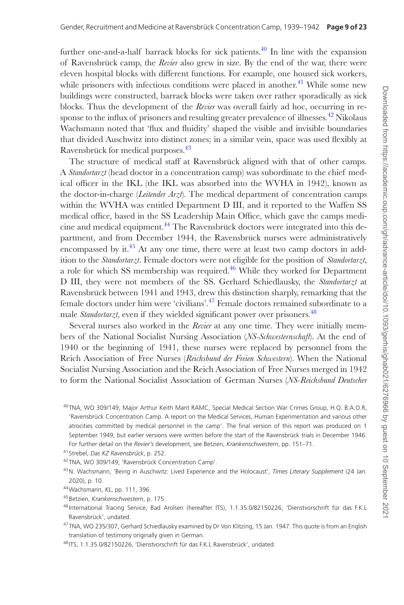further one-and-a-half barrack blocks for sick patients.<sup>40</sup> In line with the expansion of Ravensbrück camp, the *Revier* also grew in size. By the end of the war, there were eleven hospital blocks with different functions. For example, one housed sick workers, while prisoners with infectious conditions were placed in another.<sup>41</sup> While some new buildings were constructed, barrack blocks were taken over rather sporadically as sick blocks. Thus the development of the *Revier* was overall fairly ad hoc, occurring in response to the influx of prisoners and resulting greater prevalence of illnesses.<sup>42</sup> Nikolaus Wachsmann noted that 'flux and fluidity' shaped the visible and invisible boundaries that divided Auschwitz into distinct zones; in a similar vein, space was used flexibly at Ravensbrück for medical purposes.<sup>43</sup>

The structure of medical staff at Ravensbrück aligned with that of other camps. A *Standortarzt* (head doctor in a concentration camp) was subordinate to the chief medical officer in the IKL (the IKL was absorbed into the WVHA in 1942), known as the doctor-in-charge (*Leitender Arzt*). The medical department of concentration camps within the WVHA was entitled Department D III, and it reported to the Waffen SS medical office, based in the SS Leadership Main Office, which gave the camps medicine and medical equipment.<sup>44</sup> The Ravensbrück doctors were integrated into this department, and from December 1944, the Ravensbrück nurses were administratively encompassed by it. $45$  At any one time, there were at least two camp doctors in addition to the *Standortarzt*. Female doctors were not eligible for the position of *Standortarzt*, a role for which SS membership was required.<sup>46</sup> While they worked for Department D III, they were not members of the SS. Gerhard Schiedlausky, the *Standortarzt* at Ravensbrück between 1941 and 1943, drew this distinction sharply, remarking that the female doctors under him were 'civilians'.47 Female doctors remained subordinate to a male *Standortarzt*, even if they wielded significant power over prisoners.<sup>48</sup>

Several nurses also worked in the *Revier* at any one time. They were initially members of the National Socialist Nursing Association (*NS-Schwesternschaft*). At the end of 1940 or the beginning of 1941, these nurses were replaced by personnel from the Reich Association of Free Nurses (*Reichsbund der Freien Schwestern*). When the National Socialist Nursing Association and the Reich Association of Free Nurses merged in 1942 to form the National Socialist Association of German Nurses (*NS-Reichsbund Deutscher* 

<sup>40</sup> TNA, WO 309/149, Major Arthur Keith Mant RAMC, Special Medical Section War Crimes Group, H.Q. B.A.O.R, 'Ravensbrück Concentration Camp. A report on the Medical Services, Human Experimentation and various other atrocities committed by medical personnel in the camp'. The final version of this report was produced on 1 September 1949, but earlier versions were written before the start of the Ravensbrück trials in December 1946. For further detail on the *Revier's* development, see Betzien, *Krankenschwestern*, pp. 151–71.

<sup>41</sup> Strebel, *Das KZ Ravensbrück*, p. 252.

<sup>42</sup> TNA, WO 309/149, 'Ravensbrück Concentration Camp'.

<sup>43</sup>N. Wachsmann, 'Being in Auschwitz: Lived Experience and the Holocaust', *Times Literary Supplement* (24 Jan. 2020), p. 10.

<sup>44</sup>Wachsmann, *KL*, pp. 111, 396.

<sup>45</sup> Betzien, *Krankenschwestern*, p. 175.

<sup>46</sup> International Tracing Service, Bad Arolsen (hereafter ITS), 1.1.35.0/82150226, 'Dienstvorschrift für das F.K.L Ravensbrück', undated.

<sup>&</sup>lt;sup>47</sup> TNA, WO 235/307, Gerhard Schiedlausky examined by Dr Von Klitzing, 15 Jan. 1947. This quote is from an English translation of testimony originally given in German.

<sup>48</sup> ITS, 1.1.35.0/82150226, 'Dienstvorschrift für das F.K.L Ravensbrück', undated.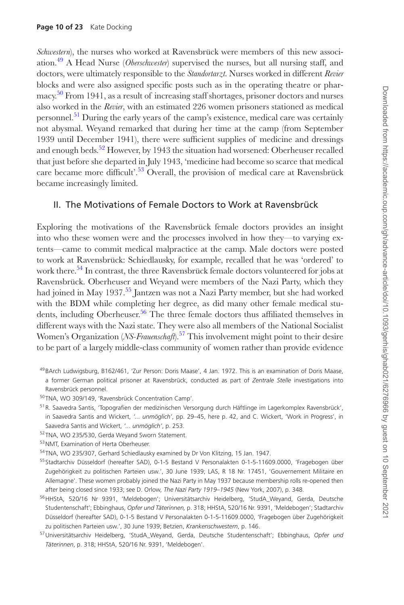*Schwestern*), the nurses who worked at Ravensbrück were members of this new association.49 A Head Nurse (*Oberschwester*) supervised the nurses, but all nursing staff, and doctors, were ultimately responsible to the *Standortarzt.* Nurses worked in different *Revier* blocks and were also assigned specific posts such as in the operating theatre or pharmacy.50 From 1941, as a result of increasing staff shortages, prisoner doctors and nurses also worked in the *Revier*, with an estimated 226 women prisoners stationed as medical personnel.51 During the early years of the camp's existence, medical care was certainly not abysmal. Weyand remarked that during her time at the camp (from September 1939 until December 1941), there were sufficient supplies of medicine and dressings and enough beds.<sup>52</sup> However, by 1943 the situation had worsened: Oberheuser recalled that just before she departed in July 1943, 'medicine had become so scarce that medical care became more difficult<sup>'.53</sup> Overall, the provision of medical care at Ravensbrück became increasingly limited.

#### II. The Motivations of Female Doctors to Work at Ravensbrück

Exploring the motivations of the Ravensbrück female doctors provides an insight into who these women were and the processes involved in how they—to varying extents—came to commit medical malpractice at the camp. Male doctors were posted to work at Ravensbrück: Schiedlausky, for example, recalled that he was 'ordered' to work there.<sup>54</sup> In contrast, the three Ravensbrück female doctors volunteered for jobs at Ravensbrück. Oberheuser and Weyand were members of the Nazi Party, which they had joined in May 1937.<sup>55</sup> Jantzen was not a Nazi Party member, but she had worked with the BDM while completing her degree, as did many other female medical students, including Oberheuser.<sup>56</sup> The three female doctors thus affiliated themselves in different ways with the Nazi state. They were also all members of the National Socialist Women's Organization (*NS-Frauenschaft*).<sup>57</sup> This involvement might point to their desire to be part of a largely middle-class community of women rather than provide evidence

- <sup>50</sup> TNA, WO 309/149, 'Ravensbrück Concentration Camp'.
- <sup>51</sup> R. Saavedra Santis, 'Topografien der medizinischen Versorgung durch Häftlinge im Lagerkomplex Ravensbrück', in Saavedra Santis and Wickert, *'... unmöglich'*, pp. 29–45, here p. 42, and C. Wickert, 'Work in Progress', in Saavedra Santis and Wickert, *'... unmöglich'*, p. 253.
- <sup>52</sup> TNA, WO 235/530, Gerda Weyand Sworn Statement.
- 53NMT, Examination of Herta Oberheuser.
- <sup>54</sup> TNA, WO 235/307, Gerhard Schiedlausky examined by Dr Von Klitzing, 15 Jan. 1947.
- 55 Stadtarchiv Düsseldorf (hereafter SAD), 0-1-5 Bestand V Personalakten 0-1-5-11609.0000, 'Fragebogen über Zugehörigkeit zu politischen Parteien usw.', 30 June 1939; LAS, R 18 Nr. 17451, 'Gouvernement Militaire en Allemagne'. These women probably joined the Nazi Party in May 1937 because membership rolls re-opened then after being closed since 1933; see D. Orlow, *The Nazi Party 1919–1945* (New York, 2007), p. 348.
- <sup>56</sup>HHStA, 520/16 Nr 9391, 'Meldebogen'; Universitätsarchiv Heidelberg, 'StudA\_Weyand, Gerda, Deutsche Studentenschaft'; Ebbinghaus, *Opfer und Täterinnen,* p. 318; HHStA, 520/16 Nr. 9391, 'Meldebogen'; Stadtarchiv Düsseldorf (hereafter SAD), 0-1-5 Bestand V Personalakten 0-1-5-11609.0000, 'Fragebogen über Zugehörigkeit zu politischen Parteien usw.', 30 June 1939; Betzien, *Krankenschwestern*, p. 146.
- 57Universitätsarchiv Heidelberg, 'StudA\_Weyand, Gerda, Deutsche Studentenschaft'; Ebbinghaus, *Opfer und Täterinnen*, p. 318; HHStA, 520/16 Nr. 9391, 'Meldebogen'.

<sup>49</sup> BArch Ludwigsburg, B162/461, 'Zur Person: Doris Maase', 4 Jan. 1972. This is an examination of Doris Maase, a former German political prisoner at Ravensbrück, conducted as part of *Zentrale Stelle* investigations into Ravensbrück personnel.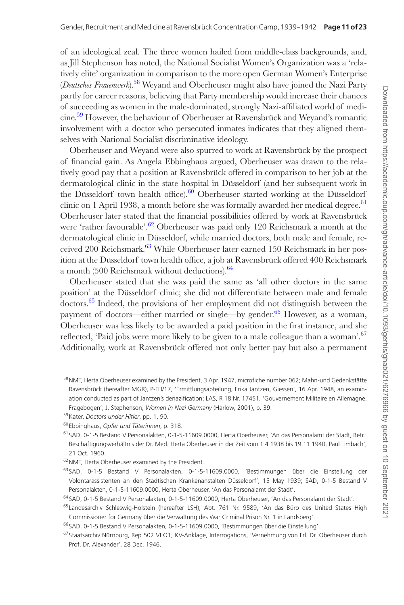of an ideological zeal. The three women hailed from middle-class backgrounds, and, as Jill Stephenson has noted, the National Socialist Women's Organization was a 'relatively elite' organization in comparison to the more open German Women's Enterprise (*Deutsches Frauenwerk*).58 Weyand and Oberheuser might also have joined the Nazi Party partly for career reasons, believing that Party membership would increase their chances of succeeding as women in the male-dominated, strongly Nazi-affiliated world of medicine.59 However, the behaviour of Oberheuser at Ravensbrück and Weyand's romantic involvement with a doctor who persecuted inmates indicates that they aligned themselves with National Socialist discriminative ideology.

Oberheuser and Weyand were also spurred to work at Ravensbrück by the prospect of financial gain. As Angela Ebbinghaus argued, Oberheuser was drawn to the relatively good pay that a position at Ravensbrück offered in comparison to her job at the dermatological clinic in the state hospital in Düsseldorf (and her subsequent work in the Düsseldorf town health office). $60$  Oberheuser started working at the Düsseldorf clinic on 1 April 1938, a month before she was formally awarded her medical degree.<sup>61</sup> Oberheuser later stated that the financial possibilities offered by work at Ravensbrück were 'rather favourable'.<sup>62</sup> Oberheuser was paid only 120 Reichsmark a month at the dermatological clinic in Düsseldorf, while married doctors, both male and female, received 200 Reichsmark.<sup>63</sup> While Oberheuser later earned 150 Reichsmark in her position at the Düsseldorf town health office, a job at Ravensbrück offered 400 Reichsmark a month (500 Reichsmark without deductions).<sup>64</sup>

Oberheuser stated that she was paid the same as 'all other doctors in the same position' at the Düsseldorf clinic; she did not differentiate between male and female doctors.65 Indeed, the provisions of her employment did not distinguish between the payment of doctors—either married or single—by gender.<sup>66</sup> However, as a woman, Oberheuser was less likely to be awarded a paid position in the first instance, and she reflected, 'Paid jobs were more likely to be given to a male colleague than a woman'.<sup>67</sup> Additionally, work at Ravensbrück offered not only better pay but also a permanent

- <sup>61</sup> SAD, 0-1-5 Bestand V Personalakten, 0-1-5-11609.0000, Herta Oberheuser, 'An das Personalamt der Stadt, Betr.: Beschäftigungsverhältnis der Dr. Med. Herta Oberheuser in der Zeit vom 1 4 1938 bis 19 11 1940, Paul Limbach', 21 Oct. 1960.
- 62NMT, Herta Oberheuser examined by the President.
- <sup>63</sup> SAD, 0-1-5 Bestand V Personalakten, 0-1-5-11609.0000, 'Bestimmungen über die Einstellung der Volontarassistenten an den Städtischen Krankenanstalten Düsseldorf', 15 May 1939; SAD, 0-1-5 Bestand V Personalakten, 0-1-5-11609.0000, Herta Oberheuser, 'An das Personalamt der Stadt'.
- <sup>64</sup> SAD, 0-1-5 Bestand V Personalakten, 0-1-5-11609.0000, Herta Oberheuser, 'An das Personalamt der Stadt'.
- <sup>65</sup> Landesarchiv Schleswig-Holstein (hereafter LSH), Abt. 761 Nr. 9589, 'An das Büro des United States High Commissioner for Germany über die Verwaltung des War Criminal Prison Nr. 1 in Landsberg'.

<sup>66</sup> SAD, 0-1-5 Bestand V Personalakten, 0-1-5-11609.0000, 'Bestimmungen über die Einstellung'.

<sup>&</sup>lt;sup>58</sup> NMT, Herta Oberheuser examined by the President, 3 Apr. 1947, microfiche number 062; Mahn-und Gedenkstätte Ravensbrück (hereafter MGR), P-FH/17, 'Ermittlungsabteilung, Erika Jantzen, Giessen', 16 Apr. 1948, an examination conducted as part of Jantzen's denazification; LAS, R 18 Nr. 17451, 'Gouvernement Militaire en Allemagne, Fragebogen'; J. Stephenson, *Women in Nazi Germany* (Harlow, 2001), p. 39.

<sup>59</sup>Kater, *Doctors under Hitler*, pp. 1, 90.

<sup>60</sup> Ebbinghaus, *Opfer und Täterinnen*, p. 318.

<sup>67</sup> Staatsarchiv Nürnburg, Rep 502 VI O1, KV-Anklage, Interrogations, 'Vernehmung von Frl. Dr. Oberheuser durch Prof. Dr. Alexander', 28 Dec. 1946.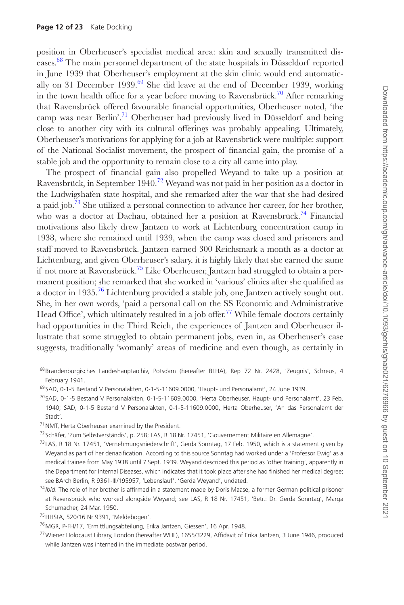position in Oberheuser's specialist medical area: skin and sexually transmitted diseases.68 The main personnel department of the state hospitals in Düsseldorf reported in June 1939 that Oberheuser's employment at the skin clinic would end automatically on 31 December 1939.<sup>69</sup> She did leave at the end of December 1939, working in the town health office for a year before moving to Ravensbrück.<sup>70</sup> After remarking that Ravensbrück offered favourable financial opportunities, Oberheuser noted, 'the camp was near Berlin'.<sup>71</sup> Oberheuser had previously lived in Düsseldorf and being close to another city with its cultural offerings was probably appealing. Ultimately, Oberheuser's motivations for applying for a job at Ravensbrück were multiple: support of the National Socialist movement, the prospect of financial gain, the promise of a stable job and the opportunity to remain close to a city all came into play.

The prospect of financial gain also propelled Weyand to take up a position at Ravensbrück, in September 1940.<sup>72</sup> Weyand was not paid in her position as a doctor in the Ludwigshafen state hospital, and she remarked after the war that she had desired a paid job.<sup>73</sup> She utilized a personal connection to advance her career, for her brother, who was a doctor at Dachau, obtained her a position at Ravensbrück.<sup>74</sup> Financial motivations also likely drew Jantzen to work at Lichtenburg concentration camp in 1938, where she remained until 1939, when the camp was closed and prisoners and staff moved to Ravensbrück. Jantzen earned 300 Reichsmark a month as a doctor at Lichtenburg, and given Oberheuser's salary, it is highly likely that she earned the same if not more at Ravensbrück.75 Like Oberheuser, Jantzen had struggled to obtain a permanent position; she remarked that she worked in 'various' clinics after she qualified as a doctor in 1935.76 Lichtenburg provided a stable job, one Jantzen actively sought out. She, in her own words, 'paid a personal call on the SS Economic and Administrative Head Office', which ultimately resulted in a job offer.<sup>77</sup> While female doctors certainly had opportunities in the Third Reich, the experiences of Jantzen and Oberheuser illustrate that some struggled to obtain permanent jobs, even in, as Oberheuser's case suggests, traditionally 'womanly' areas of medicine and even though, as certainly in

- <sup>68</sup> Brandenburgisches Landeshauptarchiv, Potsdam (hereafter BLHA), Rep 72 Nr. 2428, 'Zeugnis', Schreus, 4 February 1941.
- <sup>69</sup> SAD, 0-1-5 Bestand V Personalakten, 0-1-5-11609.0000, 'Haupt- und Personalamt', 24 June 1939.
- <sup>70</sup> SAD, 0-1-5 Bestand V Personalakten, 0-1-5-11609.0000, 'Herta Oberheuser, Haupt- und Personalamt', 23 Feb. 1940; SAD, 0-1-5 Bestand V Personalakten, 0-1-5-11609.0000, Herta Oberheuser, 'An das Personalamt der Stadt'.
- $71$  NMT, Herta Oberheuser examined by the President.
- <sup>72</sup> Schäfer, 'Zum Selbstverständis', p. 258; LAS, R 18 Nr. 17451, 'Gouvernement Militaire en Allemagne'.
- $^{73}$ LAS, R 18 Nr. 17451, 'Vernehmungsniederschrift', Gerda Sonntag, 17 Feb. 1950, which is a statement given by Weyand as part of her denazification. According to this source Sonntag had worked under a 'Professor Ewig' as a medical trainee from May 1938 until 7 Sept. 1939. Weyand described this period as 'other training', apparently in the Department for Internal Diseases, which indicates that it took place after she had finished her medical degree; see BArch Berlin, R 9361-III/195957, 'Lebenslauf', 'Gerda Weyand', undated.
- <sup>74</sup> *Ibid*. The role of her brother is affirmed in a statement made by Doris Maase, a former German political prisoner at Ravensbrück who worked alongside Weyand; see LAS, R 18 Nr. 17451, 'Betr.: Dr. Gerda Sonntag', Marga Schumacher, 24 Mar. 1950.
- 75HHStA, 520/16 Nr 9391, 'Meldebogen'.
- 76MGR, P-FH/17, 'Ermittlungsabteilung, Erika Jantzen, Giessen', 16 Apr. 1948.
- 77Wiener Holocaust Library, London (hereafter WHL), 1655/3229, Affidavit of Erika Jantzen, 3 June 1946, produced while Jantzen was interned in the immediate postwar period.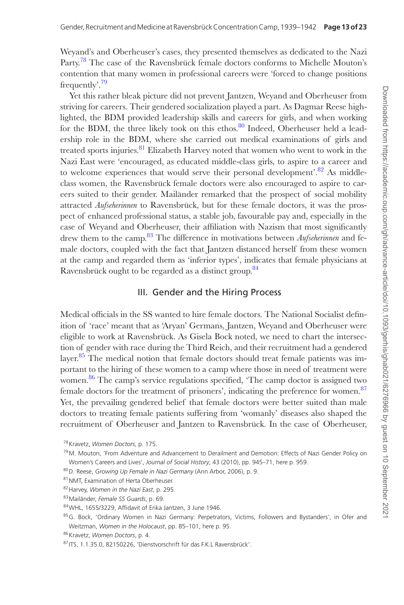Weyand's and Oberheuser's cases, they presented themselves as dedicated to the Nazi Party.<sup>78</sup> The case of the Ravensbrück female doctors conforms to Michelle Mouton's contention that many women in professional careers were 'forced to change positions frequently'.79

Yet this rather bleak picture did not prevent Jantzen, Weyand and Oberheuser from striving for careers. Their gendered socialization played a part. As Dagmar Reese highlighted, the BDM provided leadership skills and careers for girls, and when working for the BDM, the three likely took on this ethos. $80$  Indeed, Oberheuser held a leadership role in the BDM, where she carried out medical examinations of girls and treated sports injuries. $81$  Elizabeth Harvey noted that women who went to work in the Nazi East were 'encouraged, as educated middle-class girls, to aspire to a career and to welcome experiences that would serve their personal development'.<sup>82</sup> As middleclass women, the Ravensbrück female doctors were also encouraged to aspire to careers suited to their gender. Mailänder remarked that the prospect of social mobility attracted *Aufseherinnen* to Ravensbrück, but for these female doctors, it was the prospect of enhanced professional status, a stable job, favourable pay and, especially in the case of Weyand and Oberheuser, their affiliation with Nazism that most significantly drew them to the camp.<sup>83</sup> The difference in motivations between *Aufseherinnen* and female doctors, coupled with the fact that Jantzen distanced herself from these women at the camp and regarded them as 'inferior types', indicates that female physicians at Ravensbrück ought to be regarded as a distinct group.<sup>84</sup>

#### III. Gender and the Hiring Process

Medical officials in the SS wanted to hire female doctors. The National Socialist definition of 'race' meant that as 'Aryan' Germans, Jantzen, Weyand and Oberheuser were eligible to work at Ravensbrück. As Gisela Bock noted, we need to chart the intersection of gender with race during the Third Reich, and their recruitment had a gendered layer. $85$  The medical notion that female doctors should treat female patients was important to the hiring of these women to a camp where those in need of treatment were women.<sup>86</sup> The camp's service regulations specified, 'The camp doctor is assigned two female doctors for the treatment of prisoners', indicating the preference for women.<sup>87</sup> Yet, the prevailing gendered belief that female doctors were better suited than male doctors to treating female patients suffering from 'womanly' diseases also shaped the recruitment of Oberheuser and Jantzen to Ravensbrück. In the case of Oberheuser,

<sup>78</sup>Kravetz, *Women Doctors*, p. 175.

<sup>&</sup>lt;sup>79</sup> M. Mouton, 'From Adventure and Advancement to Derailment and Demotion: Effects of Nazi Gender Policy on Women's Careers and Lives', *Journal of Social History*, 43 (2010), pp. 945–71, here p. 959.

<sup>80</sup>D. Reese, *Growing Up Female in Nazi Germany* (Ann Arbor, 2006), p. 9.

<sup>81</sup> NMT, Examination of Herta Oberheuser.

<sup>82</sup>Harvey, *Women in the Nazi East*, p. 295.

<sup>83</sup>Mailänder, *Female SS Guards*, p. 69.

<sup>84</sup>WHL, 1655/3229, Affidavit of Erika Jantzen, 3 June 1946.

<sup>85</sup>G. Bock, 'Ordinary Women in Nazi Germany: Perpetrators, Victims, Followers and Bystanders', in Ofer and Weitzman, *Women in the Holocaust*, pp. 85–101, here p. 95.

<sup>86</sup>Kravetz, *Women Doctors*, p. 4.

<sup>87</sup> ITS, 1.1.35.0, 82150226, 'Dienstvorschrift für das F.K.L Ravensbrück'.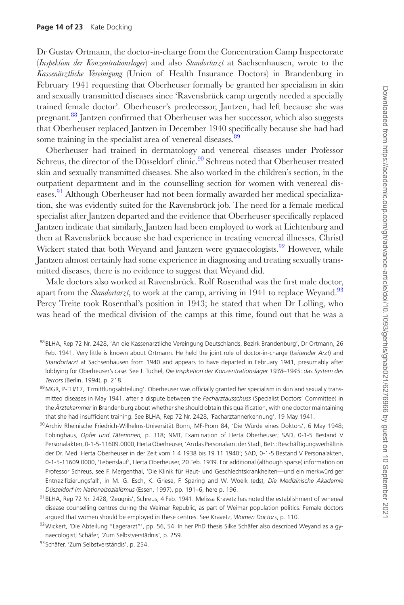Dr Gustav Ortmann, the doctor-in-charge from the Concentration Camp Inspectorate (*Inspektion der Konzentrationslager*) and also *Standortarzt* at Sachsenhausen, wrote to the *Kassenärztliche Vereinigung* (Union of Health Insurance Doctors) in Brandenburg in February 1941 requesting that Oberheuser formally be granted her specialism in skin and sexually transmitted diseases since 'Ravensbrück camp urgently needed a specially trained female doctor'. Oberheuser's predecessor, Jantzen, had left because she was pregnant.88 Jantzen confirmed that Oberheuser was her successor, which also suggests that Oberheuser replaced Jantzen in December 1940 specifically because she had had some training in the specialist area of venereal diseases.<sup>89</sup>

Oberheuser had trained in dermatology and venereal diseases under Professor Schreus, the director of the Düsseldorf clinic.<sup>90</sup> Schreus noted that Oberheuser treated skin and sexually transmitted diseases. She also worked in the children's section, in the outpatient department and in the counselling section for women with venereal diseases.91 Although Oberheuser had not been formally awarded her medical specialization, she was evidently suited for the Ravensbrück job. The need for a female medical specialist after Jantzen departed and the evidence that Oberheuser specifically replaced Jantzen indicate that similarly, Jantzen had been employed to work at Lichtenburg and then at Ravensbrück because she had experience in treating venereal illnesses. Christl Wickert stated that both Weyand and Jantzen were gynaecologists.<sup>92</sup> However, while Jantzen almost certainly had some experience in diagnosing and treating sexually transmitted diseases, there is no evidence to suggest that Weyand did.

Male doctors also worked at Ravensbrück. Rolf Rosenthal was the first male doctor, apart from the *Standortarzt*, to work at the camp, arriving in 1941 to replace Weyand.<sup>93</sup> Percy Treite took Rosenthal's position in 1943; he stated that when Dr Lolling, who was head of the medical division of the camps at this time, found out that he was a

- 88 BLHA, Rep 72 Nr. 2428, 'An die Kassenarztliche Vereingung Deutschlands, Bezirk Brandenburg', Dr Ortmann, 26 Feb. 1941. Very little is known about Ortmann. He held the joint role of doctor-in-charge (*Leitender Arzt*) and *Standortarzt* at Sachsenhausen from 1940 and appears to have departed in February 1941, presumably after lobbying for Oberheuser's case. See J. Tuchel, *Die Inspketion der Konzentrationslager 1938–1945*: *das System des Terrors* (Berlin, 1994), p. 218.
- 89 MGR, P-FH/17, 'Ermittlungsabteilung'. Oberheuser was officially granted her specialism in skin and sexually transmitted diseases in May 1941, after a dispute between the *Facharztausschuss* (Specialist Doctors' Committee) in the *Ärztekammer* in Brandenburg about whether she should obtain this qualification, with one doctor maintaining that she had insufficient training. See BLHA, Rep 72 Nr. 2428, 'Facharztannerkennung', 19 May 1941.
- 90 Archiv Rheinische Friedrich-Wilhelms-Universität Bonn, MF-Prom 84, 'Die Würde eines Doktors', 6 May 1948; Ebbinghaus, *Opfer und Täterinnen,* p. 318; NMT, Examination of Herta Oberheuser; SAD, 0-1-5 Bestand V Personalakten, 0-1-5-11609.0000, Herta Oberheuser, 'An das Personalamt der Stadt, Betr.: Beschäftigungsverhältnis der Dr. Med. Herta Oberheuser in der Zeit vom 1 4 1938 bis 19 11 1940'; SAD, 0-1-5 Bestand V Personalakten, 0-1-5-11609.0000, 'Lebenslauf', Herta Oberheuser, 20 Feb. 1939. For additional (although sparse) information on Professor Schreus, see F. Mergenthal, 'Die Klinik für Haut- und Geschlechtskrankheiten—und ein merkwürdiger Entnazifizierungsfall', in M. G. Esch, K. Griese, F. Sparing and W. Woelk (eds), *Die Medizinische Akademie Düsseldorf im Nationalsozialismus* (Essen, 1997), pp. 191–6, here p. 196.
- 91 BLHA, Rep 72 Nr. 2428, 'Zeugnis', Schreus, 4 Feb. 1941. Melissa Kravetz has noted the establishment of venereal disease counselling centres during the Weimar Republic, as part of Weimar population politics. Female doctors argued that women should be employed in these centres. See Kravetz, *Women Doctors*, p. 110.
- 92Wickert, 'Die Abteilung "Lagerarzt"', pp. 56, 54. In her PhD thesis Silke Schäfer also described Weyand as a gynaecologist; Schäfer, 'Zum Selbstverstädnis', p. 259.

<sup>93</sup> Schäfer, 'Zum Selbstverständis', p. 254.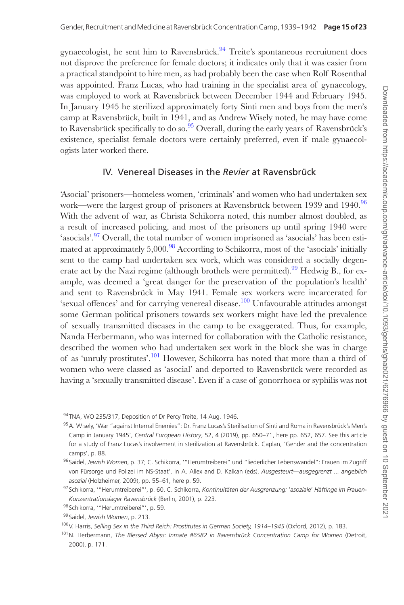gynaecologist, he sent him to Ravensbrück.<sup>94</sup> Treite's spontaneous recruitment does not disprove the preference for female doctors; it indicates only that it was easier from a practical standpoint to hire men, as had probably been the case when Rolf Rosenthal was appointed. Franz Lucas, who had training in the specialist area of gynaecology, was employed to work at Ravensbrück between December 1944 and February 1945. In January 1945 he sterilized approximately forty Sinti men and boys from the men's camp at Ravensbrück, built in 1941, and as Andrew Wisely noted, he may have come to Ravensbrück specifically to do so.<sup>95</sup> Overall, during the early years of Ravensbrück's existence, specialist female doctors were certainly preferred, even if male gynaecologists later worked there.

#### IV. Venereal Diseases in the *Revier* at Ravensbrück

'Asocial' prisoners—homeless women, 'criminals' and women who had undertaken sex work—were the largest group of prisoners at Ravensbrück between 1939 and 1940.<sup>96</sup> With the advent of war, as Christa Schikorra noted, this number almost doubled, as a result of increased policing, and most of the prisoners up until spring 1940 were 'asocials'.<sup>97</sup> Overall, the total number of women imprisoned as 'asocials' has been estimated at approximately  $5,000$ .<sup>98</sup> According to Schikorra, most of the 'asocials' initially sent to the camp had undertaken sex work, which was considered a socially degenerate act by the Nazi regime (although brothels were permitted).<sup>99</sup> Hedwig B,, for example, was deemed a 'great danger for the preservation of the population's health' and sent to Ravensbrück in May 1941. Female sex workers were incarcerated for 'sexual offences' and for carrying venereal disease.<sup>100</sup> Unfavourable attitudes amongst some German political prisoners towards sex workers might have led the prevalence of sexually transmitted diseases in the camp to be exaggerated. Thus, for example, Nanda Herbermann, who was interned for collaboration with the Catholic resistance, described the women who had undertaken sex work in the block she was in charge of as 'unruly prostitutes'.101 However, Schikorra has noted that more than a third of women who were classed as 'asocial' and deported to Ravensbrück were recorded as having a 'sexually transmitted disease'. Even if a case of gonorrhoea or syphilis was not

<sup>94</sup> TNA, WO 235/317, Deposition of Dr Percy Treite, 14 Aug. 1946.

<sup>95</sup> A. Wisely, 'War "against Internal Enemies": Dr. Franz Lucas's Sterilisation of Sinti and Roma in Ravensbrück's Men's Camp in January 1945', *Central European History*, 52, 4 (2019), pp. 650–71, here pp. 652, 657. See this article for a study of Franz Lucas's involvement in sterilization at Ravensbrück. Caplan, 'Gender and the concentration camps', p. 88.

<sup>96</sup> Saidel, *Jewish Women*, p. 37; C. Schikorra, '"Herumtreiberei" und "liederlicher Lebenswandel": Frauen im Zugriff von Fürsorge und Polizei im NS-Staat', in A. Allex and D. Kalkan (eds), *Ausgesteurt—ausgegrenzt ... angeblich asozial* (Holzheimer, 2009), pp. 55–61, here p. 59.

<sup>97</sup> Schikorra, '"Herumtreiberei"', p. 60. C. Schikorra, *Kontinuitäten der Ausgrenzung:* '*asoziale*' *Häftinge im Frauen-Konzentrationslager Ravensbrück* (Berlin, 2001), p. 223.

<sup>98</sup> Schikorra, "Herumtreiberei"', p. 59.

<sup>99</sup> Saidel, *Jewish Women*, p. 213.

<sup>100</sup>V. Harris, Selling Sex in the Third Reich: Prostitutes in German Society, 1914-1945 (Oxford, 2012), p. 183.

<sup>101</sup>N. Herbermann, *The Blessed Abyss: Inmate #6582 in Ravensbrück Concentration Camp for Women* (Detroit, 2000), p. 171.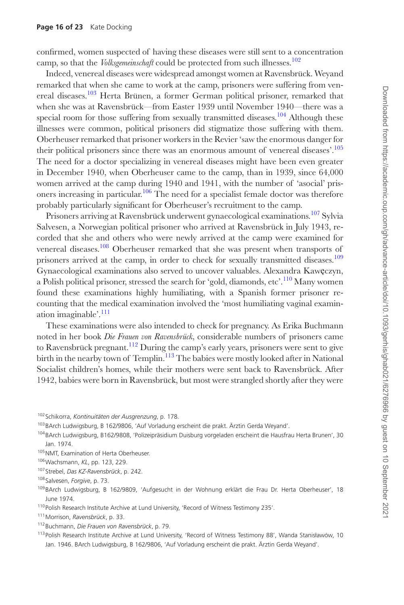confirmed, women suspected of having these diseases were still sent to a concentration camp, so that the *Volksgemeinschaft* could be protected from such illnesses.<sup>102</sup>

Indeed, venereal diseases were widespread amongst women at Ravensbrück. Weyand remarked that when she came to work at the camp, prisoners were suffering from venereal diseases.<sup>103</sup> Herta Brünen, a former German political prisoner, remarked that when she was at Ravensbrück—from Easter 1939 until November 1940—there was a special room for those suffering from sexually transmitted diseases.<sup>104</sup> Although these illnesses were common, political prisoners did stigmatize those suffering with them. Oberheuser remarked that prisoner workers in the Revier 'saw the enormous danger for their political prisoners since there was an enormous amount of venereal diseases'.105 The need for a doctor specializing in venereal diseases might have been even greater in December 1940, when Oberheuser came to the camp, than in 1939, since 64,000 women arrived at the camp during 1940 and 1941, with the number of 'asocial' prisoners increasing in particular.<sup>106</sup> The need for a specialist female doctor was therefore probably particularly significant for Oberheuser's recruitment to the camp.

Prisoners arriving at Ravensbrück underwent gynaecological examinations.<sup>107</sup> Sylvia Salvesen, a Norwegian political prisoner who arrived at Ravensbrück in July 1943, recorded that she and others who were newly arrived at the camp were examined for venereal diseases.<sup>108</sup> Oberheuser remarked that she was present when transports of prisoners arrived at the camp, in order to check for sexually transmitted diseases.<sup>109</sup> Gynaecological examinations also served to uncover valuables. Alexandra Kawęczyn, a Polish political prisoner, stressed the search for 'gold, diamonds, etc'.110 Many women found these examinations highly humiliating, with a Spanish former prisoner recounting that the medical examination involved the 'most humiliating vaginal examination imaginable'.111

These examinations were also intended to check for pregnancy. As Erika Buchmann noted in her book *Die Frauen von Ravensbrück*, considerable numbers of prisoners came to Ravensbrück pregnant.112 During the camp's early years, prisoners were sent to give birth in the nearby town of Templin.<sup>113</sup> The babies were mostly looked after in National Socialist children's homes, while their mothers were sent back to Ravensbrück. After 1942, babies were born in Ravensbrück, but most were strangled shortly after they were

<sup>102</sup>Schikorra, *Kontinuitäten der Ausgrenzung*, p. 178.

<sup>103</sup>BArch Ludwigsburg, B 162/9806, 'Auf Vorladung erscheint die prakt. Ärztin Gerda Weyand'.

<sup>104</sup>BArch Ludwigsburg, B162/9808, 'Polizeipräsidium Duisburg vorgeladen erscheint die Hausfrau Herta Brunen', 30 Jan. 1974.

<sup>105</sup> NMT, Examination of Herta Oberheuser.

<sup>106</sup>Wachsmann, *KL*, pp. 123, 229.

<sup>107</sup>Strebel, *Das KZ-Ravensbrück*, p. 242.

<sup>108</sup>Salvesen, *Forgive*, p. 73.

<sup>109</sup>BArch Ludwigsburg, B 162/9809, 'Aufgesucht in der Wohnung erklärt die Frau Dr. Herta Oberheuser', 18 June 1974.

<sup>110</sup> Polish Research Institute Archive at Lund University, 'Record of Witness Testimony 235'.

<sup>111</sup>Morrison, *Ravensbrück*, p. 33.

<sup>112</sup>Buchmann, *Die Frauen von Ravensbrück*, p. 79.

<sup>113</sup>Polish Research Institute Archive at Lund University, 'Record of Witness Testimony 88', Wanda Stanisławów, 10 Jan. 1946. BArch Ludwigsburg, B 162/9806, 'Auf Vorladung erscheint die prakt. Ärztin Gerda Weyand'.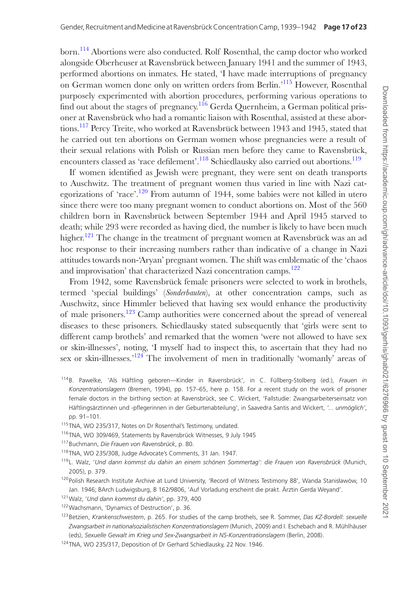born.114 Abortions were also conducted. Rolf Rosenthal, the camp doctor who worked alongside Oberheuser at Ravensbrück between January 1941 and the summer of 1943, performed abortions on inmates. He stated, 'I have made interruptions of pregnancy on German women done only on written orders from Berlin.'115 However, Rosenthal purposely experimented with abortion procedures, performing various operations to find out about the stages of pregnancy.<sup>116</sup> Gerda Quernheim, a German political prisoner at Ravensbrück who had a romantic liaison with Rosenthal, assisted at these abortions.<sup>117</sup> Percy Treite, who worked at Ravensbrück between 1943 and 1945, stated that he carried out ten abortions on German women whose pregnancies were a result of their sexual relations with Polish or Russian men before they came to Ravensbrück, encounters classed as 'race defilement'.<sup>118</sup> Schiedlausky also carried out abortions.<sup>119</sup>

If women identified as Jewish were pregnant, they were sent on death transports to Auschwitz. The treatment of pregnant women thus varied in line with Nazi categorizations of 'race'.<sup>120</sup> From autumn of 1944, some babies were not killed in utero since there were too many pregnant women to conduct abortions on. Most of the 560 children born in Ravensbrück between September 1944 and April 1945 starved to death; while 293 were recorded as having died, the number is likely to have been much higher.<sup>121</sup> The change in the treatment of pregnant women at Ravensbrück was an ad hoc response to their increasing numbers rather than indicative of a change in Nazi attitudes towards non-'Aryan' pregnant women. The shift was emblematic of the 'chaos and improvisation' that characterized Nazi concentration camps.<sup>122</sup>

From 1942, some Ravensbrück female prisoners were selected to work in brothels, termed 'special buildings' (*Sonderbauten*), at other concentration camps, such as Auschwitz, since Himmler believed that having sex would enhance the productivity of male prisoners.123 Camp authorities were concerned about the spread of venereal diseases to these prisoners. Schiedlausky stated subsequently that 'girls were sent to different camp brothels' and remarked that the women 'were not allowed to have sex or skin-illnesses', noting, 'I myself had to inspect this, to ascertain that they had no sex or skin-illnesses.<sup>'124</sup> The involvement of men in traditionally 'womanly' areas of

- 114B. Pawelke, 'Als Häftling geboren—Kinder in Ravensbrück', in C. Füllberg-Stolberg (ed.), *Frauen in Konzentrationslagern* (Bremen, 1994), pp. 157–65, here p. 158. For a recent study on the work of prisoner female doctors in the birthing section at Ravensbrück, see C. Wickert, 'Fallstudie: Zwangsarbeiterseinsatz von Häftlingsärztinnen und -pflegerinnen in der Geburtenabteilung', in Saavedra Santis and Wickert, *'... unmöglich'*, pp. 91–101.
- 115TNA, WO 235/317, Notes on Dr Rosenthal's Testimony, undated.
- 116TNA, WO 309/469, Statements by Ravensbrück Witnesses, 9 July 1945
- 117Buchmann, *Die Frauen von Ravensbrück*, p. 80.
- 118TNA, WO 235/308, Judge Advocate's Comments, 31 Jan. 1947.
- 119L. Walz, '*Und dann kommst du dahin an einem schönen Sommertag': die Frauen von Ravensbrück* (Munich, 2005), p. 379.
- <sup>120</sup> Polish Research Institute Archive at Lund University, 'Record of Witness Testimony 88', Wanda Stanisławów, 10 Jan. 1946; BArch Ludwigsburg, B 162/9806, 'Auf Vorladung erscheint die prakt. Ärztin Gerda Weyand'.
- 121Walz, '*Und dann kommst du dahin'*, pp. 379, 400
- 122 Wachsmann, 'Dynamics of Destruction', p. 36.
- 123Betzien, *Krankenschwestern*, p. 265. For studies of the camp brothels, see R. Sommer, *Das KZ-Bordell: sexuelle Zwangsarbeit in nationalsozialistischen Konzentrationslagern* (Munich, 2009) and I. Eschebach and R. Mühlhäuser (eds), *Sexuelle Gewalt im Krieg und Sex-Zwangsarbeit in NS-Konzentrationslagern* (Berlin, 2008).
- 124TNA, WO 235/317, Deposition of Dr Gerhard Schiedlausky, 22 Nov. 1946.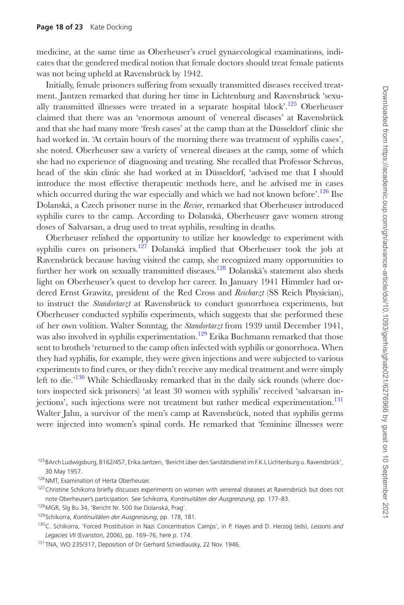medicine, at the same time as Oberheuser's cruel gynaecological examinations, indicates that the gendered medical notion that female doctors should treat female patients was not being upheld at Ravensbrück by 1942.

Initially, female prisoners suffering from sexually transmitted diseases received treatment. Jantzen remarked that during her time in Lichtenburg and Ravensbrück 'sexually transmitted illnesses were treated in a separate hospital block'.125 Oberheuser claimed that there was an 'enormous amount of venereal diseases' at Ravensbrück and that she had many more 'fresh cases' at the camp than at the Düsseldorf clinic she had worked in. 'At certain hours of the morning there was treatment of syphilis cases', she noted. Oberheuser saw a variety of venereal diseases at the camp, some of which she had no experience of diagnosing and treating. She recalled that Professor Schreus, head of the skin clinic she had worked at in Düsseldorf, 'advised me that I should introduce the most effective therapeutic methods here, and he advised me in cases which occurred during the war especially and which we had not known before'.<sup>126</sup> Ilse Dolanská, a Czech prisoner nurse in the *Revier*, remarked that Oberheuser introduced syphilis cures to the camp. According to Dolanská, Oberheuser gave women strong doses of Salvarsan, a drug used to treat syphilis, resulting in deaths.

Oberheuser relished the opportunity to utilize her knowledge to experiment with syphilis cures on prisoners.<sup>127</sup> Dolanská implied that Oberheuser took the job at Ravensbrück because having visited the camp, she recognized many opportunities to further her work on sexually transmitted diseases.<sup>128</sup> Dolanská's statement also sheds light on Oberheuser's quest to develop her career. In January 1941 Himmler had ordered Ernst Grawitz, president of the Red Cross and *Reicharzt* (SS Reich Physician), to instruct the *Standortarzt* at Ravensbrück to conduct gonorrhoea experiments, but Oberheuser conducted syphilis experiments, which suggests that she performed these of her own volition. Walter Sonntag, the *Standortarzt* from 1939 until December 1941, was also involved in syphilis experimentation.<sup>129</sup> Erika Buchmann remarked that those sent to brothels 'returned to the camp often infected with syphilis or gonorrhoea. When they had syphilis, for example, they were given injections and were subjected to various experiments to find cures, or they didn't receive any medical treatment and were simply left to die.'<sup>130</sup> While Schiedlausky remarked that in the daily sick rounds (where doctors inspected sick prisoners) 'at least 30 women with syphilis' received 'salvarsan injections', such injections were not treatment but rather medical experimentation. $^{131}$ Walter Jahn, a survivor of the men's camp at Ravensbrück, noted that syphilis germs were injected into women's spinal cords. He remarked that 'feminine illnesses were

126 NMT, Examination of Herta Oberheuser.

- 128MGR, Slg Bu 34, 'Bericht Nr. 500 Ilse Dolanská, Prag'.
- 129Schikorra, *Kontinuitäten der Ausgrenzung*, pp. 178, 181.

<sup>125</sup>BArch Ludwigsburg, B162/457, Erika Jantzen, 'Bericht über den Sanitätsdienst im F.K.L Lichtenburg u. Ravensbrück', 30 May 1957.

<sup>&</sup>lt;sup>127</sup>Christine Schikorra briefly discusses experiments on women with venereal diseases at Ravensbrück but does not note Oberheuser's participation. See Schikorra, *Kontinuitäten der Ausgrenzung*, pp. 177–83.

<sup>130</sup>C. Schikorra, 'Forced Prostitution in Nazi Concentration Camps', in P. Hayes and D. Herzog (eds), *Lessons and Legacies VII* (Evanston, 2006), pp. 169–76, here p. 174.

<sup>131</sup>TNA, WO 235/317, Deposition of Dr Gerhard Schiedlausky, 22 Nov. 1946.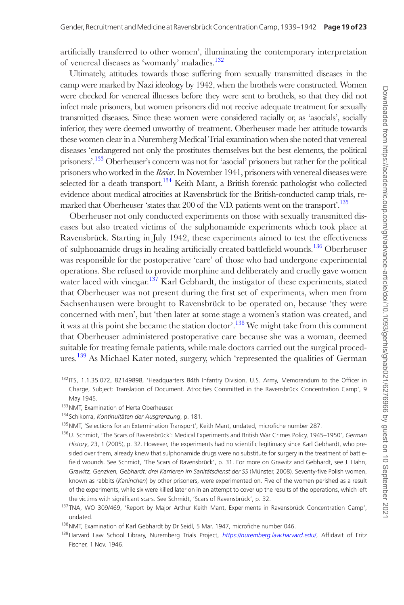artificially transferred to other women', illuminating the contemporary interpretation of venereal diseases as 'womanly' maladies.132

Ultimately, attitudes towards those suffering from sexually transmitted diseases in the camp were marked by Nazi ideology by 1942, when the brothels were constructed. Women were checked for venereal illnesses before they were sent to brothels, so that they did not infect male prisoners, but women prisoners did not receive adequate treatment for sexually transmitted diseases. Since these women were considered racially or, as 'asocials', socially inferior, they were deemed unworthy of treatment. Oberheuser made her attitude towards these women clear in a Nuremberg Medical Trial examination when she noted that venereal diseases 'endangered not only the prostitutes themselves but the best elements, the political prisoners'.<sup>133</sup> Oberheuser's concern was not for 'asocial' prisoners but rather for the political prisoners who worked in the *Revier*. In November 1941, prisoners with venereal diseases were selected for a death transport.<sup>134</sup> Keith Mant, a British forensic pathologist who collected evidence about medical atrocities at Ravensbrück for the British-conducted camp trials, remarked that Oberheuser 'states that 200 of the V.D. patients went on the transport'.<sup>135</sup>

Oberheuser not only conducted experiments on those with sexually transmitted diseases but also treated victims of the sulphonamide experiments which took place at Ravensbrück. Starting in July 1942, these experiments aimed to test the effectiveness of sulphonamide drugs in healing artificially created battlefield wounds.<sup>136</sup> Oberheuser was responsible for the postoperative 'care' of those who had undergone experimental operations. She refused to provide morphine and deliberately and cruelly gave women water laced with vinegar.<sup>137</sup> Karl Gebhardt, the instigator of these experiments, stated that Oberheuser was not present during the first set of experiments, when men from Sachsenhausen were brought to Ravensbrück to be operated on, because 'they were concerned with men', but 'then later at some stage a women's station was created, and it was at this point she became the station doctor'.<sup>138</sup> We might take from this comment that Oberheuser administered postoperative care because she was a woman, deemed suitable for treating female patients, while male doctors carried out the surgical procedures.<sup>139</sup> As Michael Kater noted, surgery, which 'represented the qualities of German

- 132 ITS, 1.1.35.072, 82149898, 'Headquarters 84th Infantry Division, U.S. Army, Memorandum to the Officer in Charge, Subject: Translation of Document. Atrocities Committed in the Ravensbrück Concentration Camp', 9 May 1945.
- 133 NMT, Examination of Herta Oberheuser.
- 134Schikorra, *Kontinuitäten der Ausgrenzung*, p. 181.
- 135 NMT, 'Selections for an Extermination Transport', Keith Mant, undated, microfiche number 287.
- 136U. Schmidt, 'The Scars of Ravensbrück': Medical Experiments and British War Crimes Policy, 1945–1950', *German History*, 23, 1 (2005), p. 32. However, the experiments had no scientific legitimacy since Karl Gebhardt, who presided over them, already knew that sulphonamide drugs were no substitute for surgery in the treatment of battlefield wounds. See Schmidt, 'The Scars of Ravensbrück', p. 31. For more on Grawitz and Gebhardt, see J. Hahn, *Grawitz, Genzken, Gebhardt: drei Karrieren im Sanitätsdienst der SS* (Münster, 2008). Seventy-five Polish women, known as rabbits (*Kaninchen*) by other prisoners, were experimented on. Five of the women perished as a result of the experiments, while six were killed later on in an attempt to cover up the results of the operations, which left the victims with significant scars. See Schmidt, 'Scars of Ravensbrück', p. 32.
- <sup>137</sup>TNA, WO 309/469, 'Report by Major Arthur Keith Mant, Experiments in Ravensbrück Concentration Camp', undated.
- 138NMT, Examination of Karl Gebhardt by Dr Seidl, 5 Mar. 1947, microfiche number 046.
- 139Harvard Law School Library, Nuremberg Trials Project, *<https://nuremberg.law.harvard.edu/>*, Affidavit of Fritz Fischer, 1 Nov. 1946.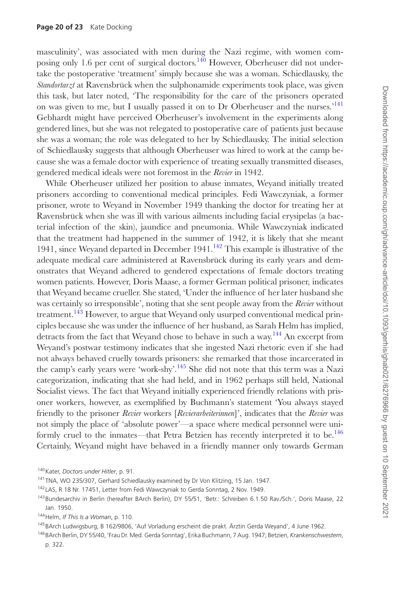masculinity', was associated with men during the Nazi regime, with women composing only 1.6 per cent of surgical doctors.<sup>140</sup> However, Oberheuser did not undertake the postoperative 'treatment' simply because she was a woman. Schiedlausky, the *Standortarzt* at Ravensbrück when the sulphonamide experiments took place, was given this task, but later noted, 'The responsibility for the care of the prisoners operated on was given to me, but I usually passed it on to Dr Oberheuser and the nurses.<sup>'141</sup> Gebhardt might have perceived Oberheuser's involvement in the experiments along gendered lines, but she was not relegated to postoperative care of patients just because she was a woman; the role was delegated to her by Schiedlausky. The initial selection of Schiedlausky suggests that although Oberheuser was hired to work at the camp because she was a female doctor with experience of treating sexually transmitted diseases, gendered medical ideals were not foremost in the *Revier* in 1942.

While Oberheuser utilized her position to abuse inmates, Weyand initially treated prisoners according to conventional medical principles. Fedi Wawczyniak, a former prisoner, wrote to Weyand in November 1949 thanking the doctor for treating her at Ravensbrück when she was ill with various ailments including facial erysipelas (a bacterial infection of the skin), jaundice and pneumonia. While Wawczyniak indicated that the treatment had happened in the summer of 1942, it is likely that she meant 1941, since Weyand departed in December 1941.<sup>142</sup> This example is illustrative of the adequate medical care administered at Ravensbrück during its early years and demonstrates that Weyand adhered to gendered expectations of female doctors treating women patients. However, Doris Maase, a former German political prisoner, indicates that Weyand became crueller. She stated, 'Under the influence of her later husband she was certainly so irresponsible', noting that she sent people away from the *Revier* without treatment.<sup>143</sup> However, to argue that Weyand only usurped conventional medical principles because she was under the influence of her husband, as Sarah Helm has implied, detracts from the fact that Weyand chose to behave in such a way.<sup>144</sup> An excerpt from Weyand's postwar testimony indicates that she ingested Nazi rhetoric even if she had not always behaved cruelly towards prisoners: she remarked that those incarcerated in the camp's early years were 'work-shy'.145 She did not note that this term was a Nazi categorization, indicating that she had held, and in 1962 perhaps still held, National Socialist views. The fact that Weyand initially experienced friendly relations with prisoner workers, however, as exemplified by Buchmann's statement 'You always stayed friendly to the prisoner *Revier* workers [*Revierarbeiterinnen*]', indicates that the *Revier* was not simply the place of 'absolute power'—a space where medical personnel were uniformly cruel to the inmates—that Petra Betzien has recently interpreted it to be.<sup>146</sup> Certainly, Weyand might have behaved in a friendly manner only towards German

<sup>145</sup>BArch Ludwigsburg, B 162/9806, 'Auf Vorladung erscheint die prakt. Ärztin Gerda Weyand', 4 June 1962.

<sup>140</sup>Kater, *Doctors under Hitler*, p. 91.

<sup>&</sup>lt;sup>141</sup>TNA, WO 235/307, Gerhard Schiedlausky examined by Dr Von Klitzing, 15 Jan. 1947.

<sup>142</sup> LAS, R 18 Nr. 17451, Letter from Fedi Wawczyniak to Gerda Sonntag, 2 Nov. 1949.

<sup>143</sup>Bundesarchiv in Berlin (hereafter BArch Berlin), DY 55/51, 'Betr.: Schreiben 6.1.50 Rav./Sch.', Doris Maase, 22 Jan. 1950.

<sup>144</sup>Helm, *If This Is a Woman*, p. 110.

<sup>146</sup>BArch Berlin, DY 55/40, 'Frau Dr. Med. Gerda Sonntag', Erika Buchmann, 7 Aug. 1947; Betzien, *Krankenschwestern*, p. 322.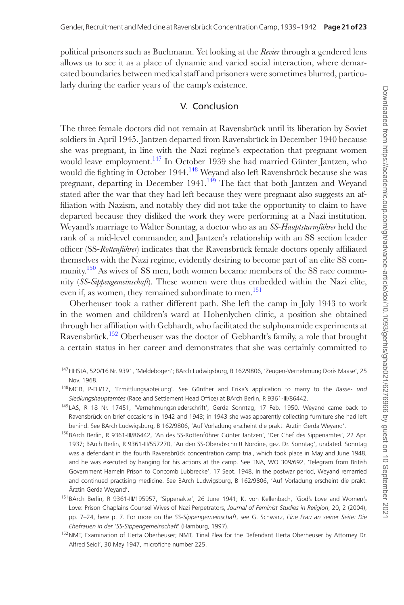political prisoners such as Buchmann. Yet looking at the *Revier* through a gendered lens allows us to see it as a place of dynamic and varied social interaction, where demarcated boundaries between medical staff and prisoners were sometimes blurred, particularly during the earlier years of the camp's existence.

#### V. Conclusion

The three female doctors did not remain at Ravensbrück until its liberation by Soviet soldiers in April 1945. Jantzen departed from Ravensbrück in December 1940 because she was pregnant, in line with the Nazi regime's expectation that pregnant women would leave employment.<sup>147</sup> In October 1939 she had married Günter Jantzen, who would die fighting in October 1944.<sup>148</sup> Weyand also left Ravensbrück because she was pregnant, departing in December 1941.<sup>149</sup> The fact that both Jantzen and Weyand stated after the war that they had left because they were pregnant also suggests an affiliation with Nazism, and notably they did not take the opportunity to claim to have departed because they disliked the work they were performing at a Nazi institution. Weyand's marriage to Walter Sonntag, a doctor who as an *SS-Hauptsturmführer* held the rank of a mid-level commander, and Jantzen's relationship with an SS section leader officer (SS-*Rottenführer*) indicates that the Ravensbrück female doctors openly affiliated themselves with the Nazi regime, evidently desiring to become part of an elite SS community.<sup>150</sup> As wives of SS men, both women became members of the SS race community (*SS-Sippengemeinschaft*). These women were thus embedded within the Nazi elite, even if, as women, they remained subordinate to men.<sup>151</sup>

Oberheuser took a rather different path. She left the camp in July 1943 to work in the women and children's ward at Hohenlychen clinic, a position she obtained through her affiliation with Gebhardt, who facilitated the sulphonamide experiments at Ravensbrück.152 Oberheuser was the doctor of Gebhardt's family, a role that brought a certain status in her career and demonstrates that she was certainly committed to

- 147HHStA, 520/16 Nr. 9391, 'Meldebogen'; BArch Ludwigsburg, B 162/9806, 'Zeugen-Vernehmung Doris Maase', 25 Nov. 1968.
- 148MGR, P-FH/17, 'Ermittlungsabteilung'. See Günther and Erika's application to marry to the *Rasse- und Siedlungshauptamtes* (Race and Settlement Head Office) at BArch Berlin, R 9361-III/86442.
- 149LAS, R 18 Nr. 17451, 'Vernehmungsniederschrift', Gerda Sonntag, 17 Feb. 1950. Weyand came back to Ravensbrück on brief occasions in 1942 and 1943; in 1943 she was apparently collecting furniture she had left behind. See BArch Ludwigsburg, B 162/9806, 'Auf Vorladung erscheint die prakt. Ärztin Gerda Weyand'.
- 150BArch Berlin, R 9361-III/86442, 'An des SS-Rottenführer Günter Jantzen', 'Der Chef des Sippenamtes', 22 Apr. 1937; BArch Berlin, R 9361-III/557270, 'An den SS-Oberabschnitt Nordine, gez. Dr. Sonntag', undated. Sonntag was a defendant in the fourth Ravensbrück concentration camp trial, which took place in May and June 1948, and he was executed by hanging for his actions at the camp. See TNA, WO 309/692, 'Telegram from British Government Hameln Prison to Concomb Lubbrecke', 17 Sept. 1948. In the postwar period, Weyand remarried and continued practising medicine. See BArch Ludwigsburg, B 162/9806, 'Auf Vorladung erscheint die prakt. Ärztin Gerda Weyand'.
- 151 BArch Berlin, R 9361-III/195957, 'Sippenakte', 26 June 1941; K. von Kellenbach, 'God's Love and Women's Love: Prison Chaplains Counsel Wives of Nazi Perpetrators, *Journal of Feminist Studies in Religion*, 20, 2 (2004), pp. 7–24, here p. 7. For more on the *SS-Sippengemeinschaft*, see G. Schwarz, *Eine Frau an seiner Seite: Die Ehefrauen in der* '*SS-Sippengemeinschaft*' (Hamburg, 1997).
- 152NMT, Examination of Herta Oberheuser; NMT, 'Final Plea for the Defendant Herta Oberheuser by Attorney Dr. Alfred Seidl', 30 May 1947, microfiche number 225.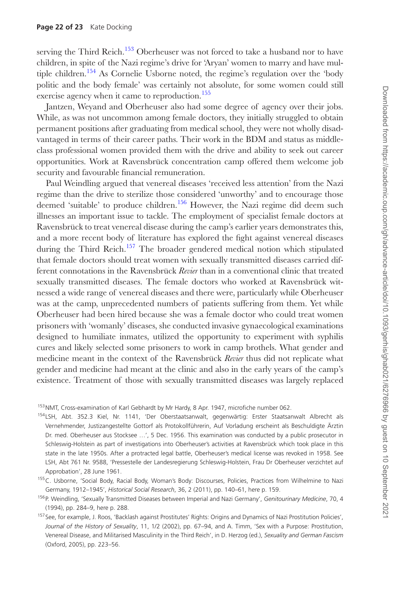serving the Third Reich.<sup>153</sup> Oberheuser was not forced to take a husband nor to have children, in spite of the Nazi regime's drive for 'Aryan' women to marry and have multiple children.<sup>154</sup> As Cornelie Usborne noted, the regime's regulation over the 'body politic and the body female' was certainly not absolute, for some women could still exercise agency when it came to reproduction.<sup>155</sup>

Jantzen, Weyand and Oberheuser also had some degree of agency over their jobs. While, as was not uncommon among female doctors, they initially struggled to obtain permanent positions after graduating from medical school, they were not wholly disadvantaged in terms of their career paths. Their work in the BDM and status as middleclass professional women provided them with the drive and ability to seek out career opportunities. Work at Ravensbrück concentration camp offered them welcome job security and favourable financial remuneration.

Paul Weindling argued that venereal diseases 'received less attention' from the Nazi regime than the drive to sterilize those considered 'unworthy' and to encourage those deemed 'suitable' to produce children.<sup>156</sup> However, the Nazi regime did deem such illnesses an important issue to tackle. The employment of specialist female doctors at Ravensbrück to treat venereal disease during the camp's earlier years demonstrates this, and a more recent body of literature has explored the fight against venereal diseases during the Third Reich.<sup>157</sup> The broader gendered medical notion which stipulated that female doctors should treat women with sexually transmitted diseases carried different connotations in the Ravensbrück *Revier* than in a conventional clinic that treated sexually transmitted diseases. The female doctors who worked at Ravensbrück witnessed a wide range of venereal diseases and there were, particularly while Oberheuser was at the camp, unprecedented numbers of patients suffering from them. Yet while Oberheuser had been hired because she was a female doctor who could treat women prisoners with 'womanly' diseases, she conducted invasive gynaecological examinations designed to humiliate inmates, utilized the opportunity to experiment with syphilis cures and likely selected some prisoners to work in camp brothels. What gender and medicine meant in the context of the Ravensbrück *Revier* thus did not replicate what gender and medicine had meant at the clinic and also in the early years of the camp's existence. Treatment of those with sexually transmitted diseases was largely replaced

<sup>153</sup>NMT, Cross-examination of Karl Gebhardt by Mr Hardy, 8 Apr. 1947, microfiche number 062.

154LSH, Abt. 352.3 Kiel, Nr. 1141, 'Der Oberstaatsanwalt, gegenwärtig: Erster Staatsanwalt Albrecht als Vernehmender, Justizangestellte Gottorf als Protokollführerin, Auf Vorladung erscheint als Beschuldigte Ärztin Dr. med. Oberheuser aus Stocksee …', 5 Dec. 1956. This examination was conducted by a public prosecutor in Schleswig-Holstein as part of investigations into Oberheuser's activities at Ravensbrück which took place in this state in the late 1950s. After a protracted legal battle, Oberheuser's medical license was revoked in 1958. See LSH, Abt 761 Nr. 9588, 'Pressestelle der Landesregierung Schleswig-Holstein, Frau Dr Oberheuser verzichtet auf Approbation', 28 June 1961.

<sup>155</sup>C. Usborne, 'Social Body, Racial Body, Woman's Body: Discourses, Policies, Practices from Wilhelmine to Nazi Germany, 1912–1945', *Historical Social Research*, 36, 2 (2011), pp. 140–61, here p. 159.

<sup>156</sup>P. Weindling, 'Sexually Transmitted Diseases between Imperial and Nazi Germany', *Genitourinary Medicine*, 70, 4 (1994), pp. 284–9, here p. 288.

<sup>157</sup> See, for example, J. Roos, 'Backlash against Prostitutes' Rights: Origins and Dynamics of Nazi Prostitution Policies', *Journal of the History of Sexuality*, 11, 1/2 (2002), pp. 67–94, and A. Timm, 'Sex with a Purpose: Prostitution, Venereal Disease, and Militarised Masculinity in the Third Reich', in D. Herzog (ed.), *Sexuality and German Fascism* (Oxford, 2005), pp. 223–56.